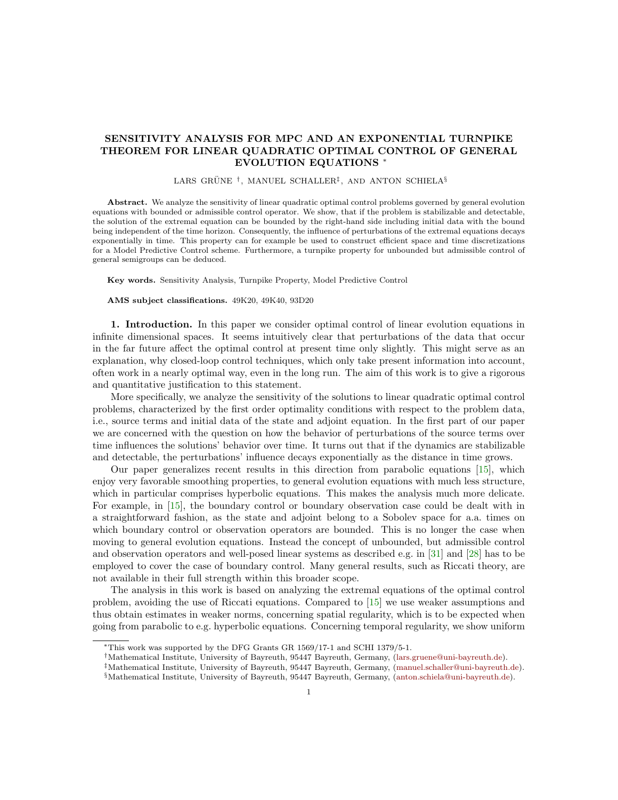## SENSITIVITY ANALYSIS FOR MPC AND AN EXPONENTIAL TURNPIKE THEOREM FOR LINEAR QUADRATIC OPTIMAL CONTROL OF GENERAL EVOLUTION EQUATIONS <sup>∗</sup>

## LARS GRÜNE<sup>†</sup>, MANUEL SCHALLER<sup>‡</sup>, AND ANTON SCHIELA<sup>§</sup>

Abstract. We analyze the sensitivity of linear quadratic optimal control problems governed by general evolution equations with bounded or admissible control operator. We show, that if the problem is stabilizable and detectable, the solution of the extremal equation can be bounded by the right-hand side including initial data with the bound being independent of the time horizon. Consequently, the influence of perturbations of the extremal equations decays exponentially in time. This property can for example be used to construct efficient space and time discretizations for a Model Predictive Control scheme. Furthermore, a turnpike property for unbounded but admissible control of general semigroups can be deduced.

Key words. Sensitivity Analysis, Turnpike Property, Model Predictive Control

## AMS subject classifications. 49K20, 49K40, 93D20

1. Introduction. In this paper we consider optimal control of linear evolution equations in infinite dimensional spaces. It seems intuitively clear that perturbations of the data that occur in the far future affect the optimal control at present time only slightly. This might serve as an explanation, why closed-loop control techniques, which only take present information into account, often work in a nearly optimal way, even in the long run. The aim of this work is to give a rigorous and quantitative justification to this statement.

More specifically, we analyze the sensitivity of the solutions to linear quadratic optimal control problems, characterized by the first order optimality conditions with respect to the problem data, i.e., source terms and initial data of the state and adjoint equation. In the first part of our paper we are concerned with the question on how the behavior of perturbations of the source terms over time influences the solutions' behavior over time. It turns out that if the dynamics are stabilizable and detectable, the perturbations' influence decays exponentially as the distance in time grows.

Our paper generalizes recent results in this direction from parabolic equations [\[15\]](#page-24-0), which enjoy very favorable smoothing properties, to general evolution equations with much less structure, which in particular comprises hyperbolic equations. This makes the analysis much more delicate. For example, in [\[15\]](#page-24-0), the boundary control or boundary observation case could be dealt with in a straightforward fashion, as the state and adjoint belong to a Sobolev space for a.a. times on which boundary control or observation operators are bounded. This is no longer the case when moving to general evolution equations. Instead the concept of unbounded, but admissible control and observation operators and well-posed linear systems as described e.g. in [\[31\]](#page-24-1) and [\[28\]](#page-24-2) has to be employed to cover the case of boundary control. Many general results, such as Riccati theory, are not available in their full strength within this broader scope.

The analysis in this work is based on analyzing the extremal equations of the optimal control problem, avoiding the use of Riccati equations. Compared to [\[15\]](#page-24-0) we use weaker assumptions and thus obtain estimates in weaker norms, concerning spatial regularity, which is to be expected when going from parabolic to e.g. hyperbolic equations. Concerning temporal regularity, we show uniform

<sup>∗</sup>This work was supported by the DFG Grants GR 1569/17-1 and SCHI 1379/5-1.

<sup>†</sup>Mathematical Institute, University of Bayreuth, 95447 Bayreuth, Germany, [\(lars.gruene@uni-bayreuth.de\)](mailto:lars.gruene@uni-bayreuth.de).

<sup>‡</sup>Mathematical Institute, University of Bayreuth, 95447 Bayreuth, Germany, [\(manuel.schaller@uni-bayreuth.de\)](mailto:manuel.schaller@uni-bayreuth.de).

<sup>§</sup>Mathematical Institute, University of Bayreuth, 95447 Bayreuth, Germany, [\(anton.schiela@uni-bayreuth.de\)](mailto:anton.schiela@uni-bayreuth.de).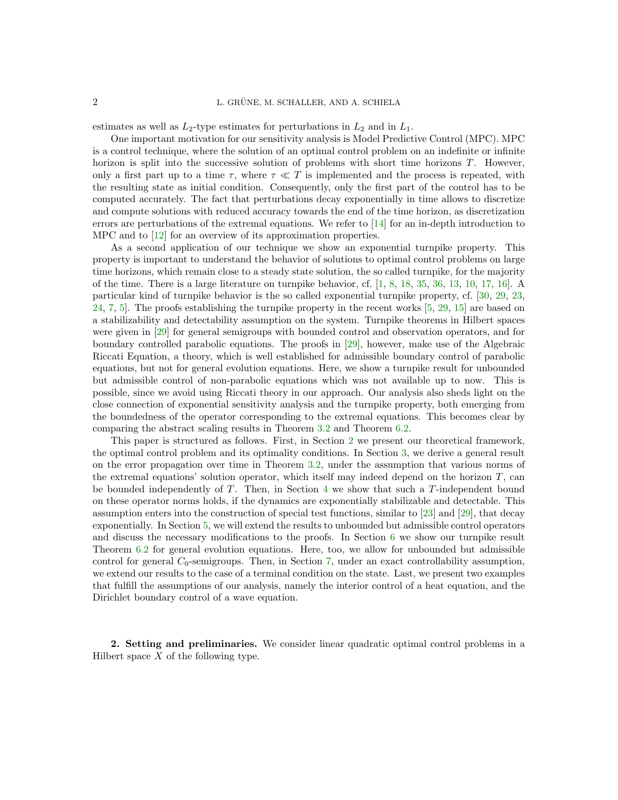estimates as well as  $L_2$ -type estimates for perturbations in  $L_2$  and in  $L_1$ .

One important motivation for our sensitivity analysis is Model Predictive Control (MPC). MPC is a control technique, where the solution of an optimal control problem on an indefinite or infinite horizon is split into the successive solution of problems with short time horizons T. However, only a first part up to a time  $\tau$ , where  $\tau \ll T$  is implemented and the process is repeated, with the resulting state as initial condition. Consequently, only the first part of the control has to be computed accurately. The fact that perturbations decay exponentially in time allows to discretize and compute solutions with reduced accuracy towards the end of the time horizon, as discretization errors are perturbations of the extremal equations. We refer to [\[14\]](#page-24-3) for an in-depth introduction to MPC and to [\[12\]](#page-24-4) for an overview of its approximation properties.

As a second application of our technique we show an exponential turnpike property. This property is important to understand the behavior of solutions to optimal control problems on large time horizons, which remain close to a steady state solution, the so called turnpike, for the majority of the time. There is a large literature on turnpike behavior, cf. [\[1,](#page-24-5) [8,](#page-24-6) [18,](#page-24-7) [35,](#page-25-0) [36,](#page-25-1) [13,](#page-24-8) [10,](#page-24-9) [17,](#page-24-10) [16\]](#page-24-11). A particular kind of turnpike behavior is the so called exponential turnpike property, cf. [\[30,](#page-24-12) [29,](#page-24-13) [23,](#page-24-14) [24,](#page-24-15) [7,](#page-24-16) [5\]](#page-24-17). The proofs establishing the turnpike property in the recent works [\[5,](#page-24-17) [29,](#page-24-13) [15\]](#page-24-0) are based on a stabilizability and detectability assumption on the system. Turnpike theorems in Hilbert spaces were given in [\[29\]](#page-24-13) for general semigroups with bounded control and observation operators, and for boundary controlled parabolic equations. The proofs in [\[29\]](#page-24-13), however, make use of the Algebraic Riccati Equation, a theory, which is well established for admissible boundary control of parabolic equations, but not for general evolution equations. Here, we show a turnpike result for unbounded but admissible control of non-parabolic equations which was not available up to now. This is possible, since we avoid using Riccati theory in our approach. Our analysis also sheds light on the close connection of exponential sensitivity analysis and the turnpike property, both emerging from the boundedness of the operator corresponding to the extremal equations. This becomes clear by comparing the abstract scaling results in Theorem [3.2](#page-4-0) and Theorem [6.2.](#page-18-0)

This paper is structured as follows. First, in Section [2](#page-1-0) we present our theoretical framework, the optimal control problem and its optimality conditions. In Section [3,](#page-3-0) we derive a general result on the error propagation over time in Theorem [3.2,](#page-4-0) under the assumption that various norms of the extremal equations' solution operator, which itself may indeed depend on the horizon  $T$ , can be bounded independently of  $T$ . Then, in Section  $4$  we show that such a  $T$ -independent bound on these operator norms holds, if the dynamics are exponentially stabilizable and detectable. This assumption enters into the construction of special test functions, similar to [\[23\]](#page-24-14) and [\[29\]](#page-24-13), that decay exponentially. In Section [5,](#page-12-0) we will extend the results to unbounded but admissible control operators and discuss the necessary modifications to the proofs. In Section [6](#page-17-0) we show our turnpike result Theorem [6.2](#page-18-0) for general evolution equations. Here, too, we allow for unbounded but admissible control for general  $C_0$ -semigroups. Then, in Section [7,](#page-20-0) under an exact controllability assumption, we extend our results to the case of a terminal condition on the state. Last, we present two examples that fulfill the assumptions of our analysis, namely the interior control of a heat equation, and the Dirichlet boundary control of a wave equation.

<span id="page-1-1"></span><span id="page-1-0"></span>2. Setting and preliminaries. We consider linear quadratic optimal control problems in a Hilbert space  $X$  of the following type.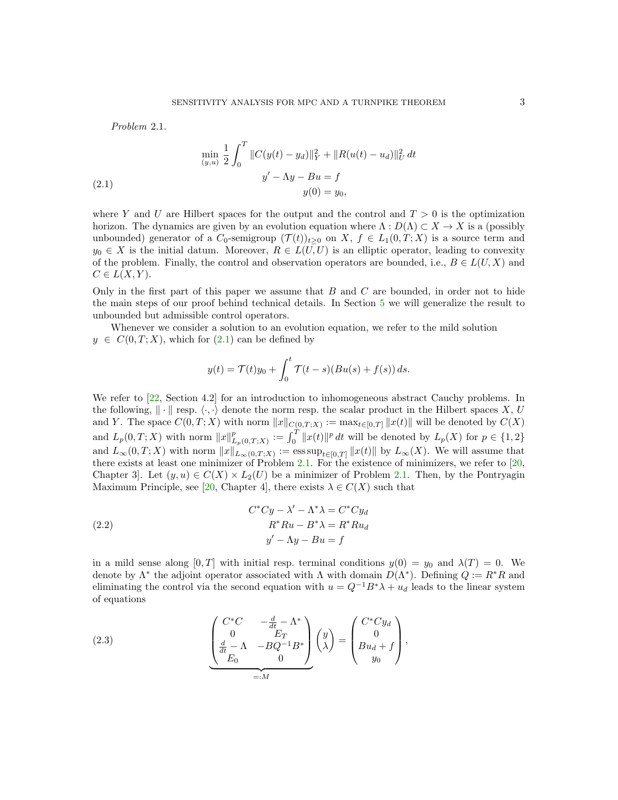Problem 2.1.

<span id="page-2-0"></span>(2.1) 
$$
\min_{(y,u)} \frac{1}{2} \int_0^T \|C(y(t) - y_d)\|_Y^2 + \|R(u(t) - u_d)\|_U^2 dt
$$

$$
y' - \Lambda y - Bu = f
$$

$$
y(0) = y_0,
$$

where Y and U are Hilbert spaces for the output and the control and  $T > 0$  is the optimization horizon. The dynamics are given by an evolution equation where  $\Lambda: D(\Lambda) \subset X \to X$  is a (possibly unbounded) generator of a  $C_0$ -semigroup  $(\mathcal{T}(t))_{t>0}$  on X,  $f \in L_1(0,T;X)$  is a source term and  $y_0 \in X$  is the initial datum. Moreover,  $R \in L(U, U)$  is an elliptic operator, leading to convexity of the problem. Finally, the control and observation operators are bounded, i.e.,  $B \in L(U, X)$  and  $C \in L(X,Y)$ .

Only in the first part of this paper we assume that  $B$  and  $C$  are bounded, in order not to hide the main steps of our proof behind technical details. In Section [5](#page-12-0) we will generalize the result to unbounded but admissible control operators.

Whenever we consider a solution to an evolution equation, we refer to the mild solution  $y \in C(0,T;X)$ , which for  $(2.1)$  can be defined by

$$
y(t) = \mathcal{T}(t)y_0 + \int_0^t \mathcal{T}(t-s)(Bu(s) + f(s)) ds.
$$

We refer to [\[22,](#page-24-18) Section 4.2] for an introduction to inhomogeneous abstract Cauchy problems. In the following,  $\|\cdot\|$  resp.  $\langle \cdot, \cdot \rangle$  denote the norm resp. the scalar product in the Hilbert spaces X, U and Y. The space  $C(0,T;X)$  with norm  $||x||_{C(0,T;X)} := \max_{t \in [0,T]} ||x(t)||$  will be denoted by  $C(X)$ and  $L_p(0,T;X)$  with norm  $||x||_I^p$  $L_{p(0,T;X)}^{p} := \int_{0}^{T} ||x(t)||^{p} dt$  will be denoted by  $L_{p}(X)$  for  $p \in \{1,2\}$ and  $L_{\infty}(0,T;X)$  with norm  $||x||_{L_{\infty}(0,T;X)} := \text{ess sup}_{t\in[0,T]} ||x(t)||$  by  $L_{\infty}(X)$ . We will assume that there exists at least one minimizer of Problem [2.1.](#page-1-1) For the existence of minimizers, we refer to [\[20,](#page-24-19) Chapter 3. Let  $(y, u) \in C(X) \times L_2(U)$  be a minimizer of Problem [2.1.](#page-1-1) Then, by the Pontryagin Maximum Principle, see [\[20,](#page-24-19) Chapter 4], there exists  $\lambda \in C(X)$  such that

<span id="page-2-2"></span>(2.2) 
$$
C^*Cy - \lambda' - \Lambda^* \lambda = C^*Cy_d
$$

$$
R^*Ru - B^* \lambda = R^*Ru_d
$$

$$
y' - \Lambda y - Bu = f
$$

in a mild sense along  $[0, T]$  with initial resp. terminal conditions  $y(0) = y_0$  and  $\lambda(T) = 0$ . We denote by  $\Lambda^*$  the adjoint operator associated with  $\Lambda$  with domain  $D(\Lambda^*)$ . Defining  $Q := R^*R$  and eliminating the control via the second equation with  $u = Q^{-1}B^*\lambda + u_d$  leads to the linear system of equations

<span id="page-2-1"></span>(2.3) 
$$
\begin{pmatrix} C^*C & -\frac{d}{dt} - \Lambda^* \\ 0 & E_T \\ \frac{d}{dt} - \Lambda & -BQ^{-1}B^* \\ E_0 & 0 \end{pmatrix} \begin{pmatrix} y \\ \lambda \end{pmatrix} = \begin{pmatrix} C^*Cy_d \\ 0 \\ Bu_d + f \\ y_0 \end{pmatrix},
$$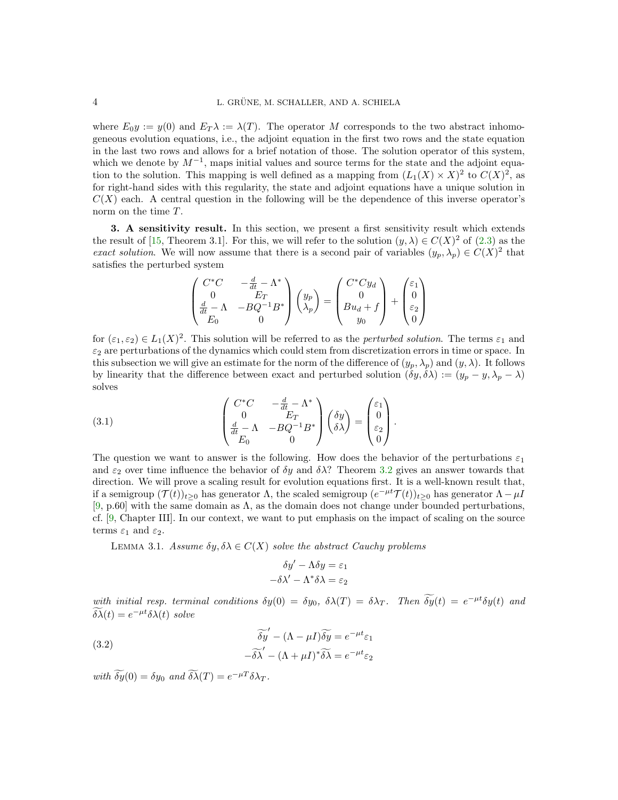where  $E_0 y := y(0)$  and  $E_T \lambda := \lambda(T)$ . The operator M corresponds to the two abstract inhomogeneous evolution equations, i.e., the adjoint equation in the first two rows and the state equation in the last two rows and allows for a brief notation of those. The solution operator of this system, which we denote by  $M^{-1}$ , maps initial values and source terms for the state and the adjoint equation to the solution. This mapping is well defined as a mapping from  $(L_1(X) \times X)^2$  to  $C(X)^2$ , as for right-hand sides with this regularity, the state and adjoint equations have a unique solution in  $C(X)$  each. A central question in the following will be the dependence of this inverse operator's norm on the time T.

<span id="page-3-0"></span>3. A sensitivity result. In this section, we present a first sensitivity result which extends the result of [\[15,](#page-24-0) Theorem 3.1]. For this, we will refer to the solution  $(y, \lambda) \in C(X)^2$  of  $(2.3)$  as the exact solution. We will now assume that there is a second pair of variables  $(y_p, \lambda_p) \in C(X)^2$  that satisfies the perturbed system

$$
\begin{pmatrix}\nC^*C & -\frac{d}{dt} - \Lambda^* \\
0 & E_T \\
\frac{d}{dt} - \Lambda & -BQ^{-1}B^* \\
E_0 & 0\n\end{pmatrix}\n\begin{pmatrix}\ny_p \\
\lambda_p\n\end{pmatrix} = \n\begin{pmatrix}\nC^*Cy_d \\
0 \\
Bu_d + f \\
y_0\n\end{pmatrix} + \n\begin{pmatrix}\n\varepsilon_1 \\
0 \\
\varepsilon_2 \\
0\n\end{pmatrix}
$$

for  $(\varepsilon_1, \varepsilon_2) \in L_1(X)^2$ . This solution will be referred to as the *perturbed solution*. The terms  $\varepsilon_1$  and  $\varepsilon_2$  are perturbations of the dynamics which could stem from discretization errors in time or space. In this subsection we will give an estimate for the norm of the difference of  $(y_p, \lambda_p)$  and  $(y, \lambda)$ . It follows by linearity that the difference between exact and perturbed solution  $(\delta y, \delta \lambda) := (y_p - y, \lambda_p - \lambda)$ solves

<span id="page-3-1"></span>(3.1) 
$$
\begin{pmatrix} C^*C & -\frac{d}{dt} - \Lambda^* \\ 0 & E_T \\ \frac{d}{dt} - \Lambda & -BQ^{-1}B^* \\ E_0 & 0 \end{pmatrix} \begin{pmatrix} \delta y \\ \delta \lambda \end{pmatrix} = \begin{pmatrix} \varepsilon_1 \\ 0 \\ \varepsilon_2 \\ 0 \end{pmatrix}.
$$

The question we want to answer is the following. How does the behavior of the perturbations  $\varepsilon_1$ and  $\varepsilon_2$  over time influence the behavior of  $\delta y$  and  $\delta \lambda$ ? Theorem [3.2](#page-4-0) gives an answer towards that direction. We will prove a scaling result for evolution equations first. It is a well-known result that, if a semigroup  $(\mathcal{T}(t))_{t\geq0}$  has generator  $\Lambda$ , the scaled semigroup  $(e^{-\mu t}\mathcal{T}(t))_{t\geq0}$  has generator  $\Lambda-\mu I$  $[9, p.60]$  $[9, p.60]$  with the same domain as  $\Lambda$ , as the domain does not change under bounded perturbations, cf. [\[9,](#page-24-20) Chapter III]. In our context, we want to put emphasis on the impact of scaling on the source terms  $\varepsilon_1$  and  $\varepsilon_2$ .

<span id="page-3-2"></span>LEMMA 3.1. Assume  $\delta y$ ,  $\delta \lambda \in C(X)$  solve the abstract Cauchy problems

$$
\delta y' - \Lambda \delta y = \varepsilon_1
$$

$$
-\delta \lambda' - \Lambda^* \delta \lambda = \varepsilon_2
$$

with initial resp. terminal conditions  $\delta y(0) = \delta y_0$ ,  $\delta \lambda(T) = \delta \lambda_T$ . Then  $\delta y(t) = e^{-\mu t} \delta y(t)$  and  $\delta \tilde{\lambda}(t) = e^{-\mu t} \delta \lambda(t)$  solve

<span id="page-3-3"></span>(3.2)  
\n
$$
\begin{aligned}\n\widetilde{\delta y}' - (\Lambda - \mu I) \widetilde{\delta y} &= e^{-\mu t} \varepsilon_1 \\
-\widetilde{\delta \lambda}' - (\Lambda + \mu I)^* \widetilde{\delta \lambda} &= e^{-\mu t} \varepsilon_2\n\end{aligned}
$$

with  $\delta y(0) = \delta y_0$  and  $\delta \lambda(T) = e^{-\mu T} \delta \lambda_T$ .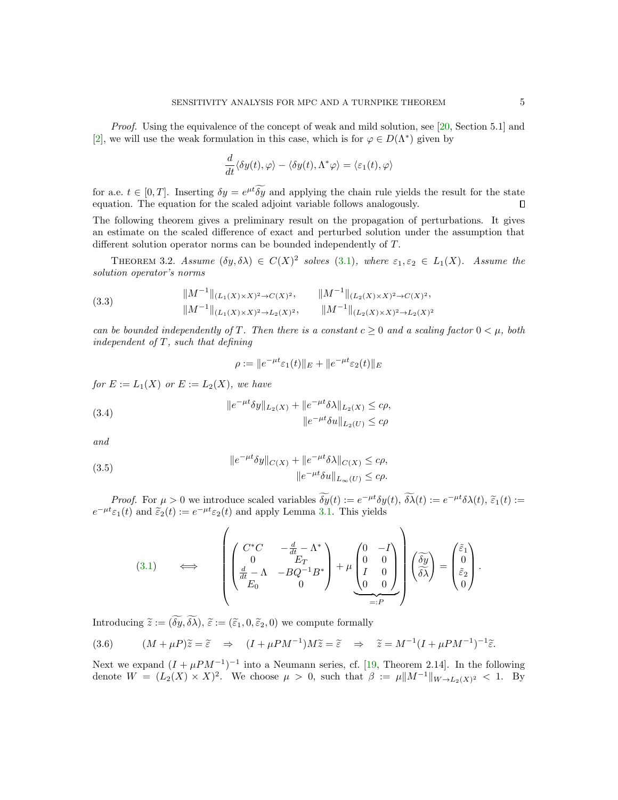*Proof.* Using the equivalence of the concept of weak and mild solution, see [\[20,](#page-24-19) Section 5.1] and [\[2\]](#page-24-21), we will use the weak formulation in this case, which is for  $\varphi \in D(\Lambda^*)$  given by

<span id="page-4-0"></span>
$$
\frac{d}{dt}\langle \delta y(t), \varphi \rangle - \langle \delta y(t), \Lambda^* \varphi \rangle = \langle \varepsilon_1(t), \varphi \rangle
$$

for a.e.  $t \in [0, T]$ . Inserting  $\delta y = e^{\mu t} \delta y$  and applying the chain rule yields the result for the state equation. The equation for the scaled adjoint variable follows analogously.

The following theorem gives a preliminary result on the propagation of perturbations. It gives an estimate on the scaled difference of exact and perturbed solution under the assumption that different solution operator norms can be bounded independently of T.

THEOREM 3.2. Assume  $(\delta y, \delta \lambda) \in C(X)^2$  solves [\(3.1\)](#page-3-1), where  $\varepsilon_1, \varepsilon_2 \in L_1(X)$ . Assume the solution operator's norms

<span id="page-4-4"></span>(3.3) 
$$
||M^{-1}||_{(L_1(X)\times X)^2 \to C(X)^2}, \qquad ||M^{-1}||_{(L_2(X)\times X)^2 \to C(X)^2},
$$

$$
||M^{-1}||_{(L_1(X)\times X)^2 \to L_2(X)^2}, \qquad ||M^{-1}||_{(L_2(X)\times X)^2 \to L_2(X)^2}
$$

can be bounded independently of T. Then there is a constant  $c \geq 0$  and a scaling factor  $0 < \mu$ , both independent of  $T$ , such that defining

$$
\rho := \|e^{-\mu t}\varepsilon_1(t)\|_E + \|e^{-\mu t}\varepsilon_2(t)\|_E
$$

for  $E := L_1(X)$  or  $E := L_2(X)$ , we have

<span id="page-4-2"></span>(3.4) 
$$
||e^{-\mu t}\delta y||_{L_2(X)} + ||e^{-\mu t}\delta \lambda||_{L_2(X)} \leq c\rho,
$$

$$
||e^{-\mu t}\delta u||_{L_2(U)} \leq c\rho
$$

and

<span id="page-4-3"></span>(3.5) 
$$
||e^{-\mu t}\delta y||_{C(X)} + ||e^{-\mu t}\delta \lambda||_{C(X)} \leq c\rho,
$$

$$
||e^{-\mu t}\delta u||_{L_{\infty}(U)} \leq c\rho.
$$

Proof. For  $\mu > 0$  we introduce scaled variables  $\delta y(t) := e^{-\mu t} \delta y(t)$ ,  $\delta \lambda(t) := e^{-\mu t} \delta \lambda(t)$ ,  $\tilde{\epsilon}_1(t) := e^{-\mu t} \epsilon_2(t)$  and apply Lemma 3.1. This violet  $e^{-\mu t} \varepsilon_1(t)$  and  $\tilde{\varepsilon}_2(t) := e^{-\mu t} \varepsilon_2(t)$  and apply Lemma [3.1.](#page-3-2) This yields

(3.1) 
$$
\iff \left( \begin{pmatrix} C^*C & -\frac{d}{dt} - \Lambda^* \\ 0 & E_T \\ \frac{d}{dt} - \Lambda & -BQ^{-1}B^* \\ E_0 & 0 \end{pmatrix} + \mu \underbrace{\begin{pmatrix} 0 & -I \\ 0 & 0 \\ I & 0 \\ 0 & 0 \end{pmatrix}}_{=:P} \begin{pmatrix} \tilde{\delta y} \\ \tilde{\delta \lambda} \end{pmatrix} = \begin{pmatrix} \tilde{\varepsilon}_1 \\ 0 \\ \tilde{\varepsilon}_2 \\ 0 \end{pmatrix}.
$$

Introducing  $\widetilde{z} := (\widetilde{\delta y}, \widetilde{\delta \lambda}), \widetilde{\epsilon} := (\widetilde{\epsilon}_1, 0, \widetilde{\epsilon}_2, 0)$  we compute formally

<span id="page-4-1"></span>(3.6) 
$$
(M + \mu P)\widetilde{z} = \widetilde{\epsilon} \Rightarrow (I + \mu PM^{-1})M\widetilde{z} = \widetilde{\epsilon} \Rightarrow \widetilde{z} = M^{-1}(I + \mu PM^{-1})^{-1}\widetilde{\epsilon}.
$$

Next we expand  $(I + \mu PM^{-1})^{-1}$  into a Neumann series, cf. [\[19,](#page-24-22) Theorem 2.14]. In the following denote  $W = (L_2(X) \times X)^2$ . We choose  $\mu > 0$ , such that  $\beta := \mu \|M^{-1}\|_{W \to L_2(X)^2} < 1$ . By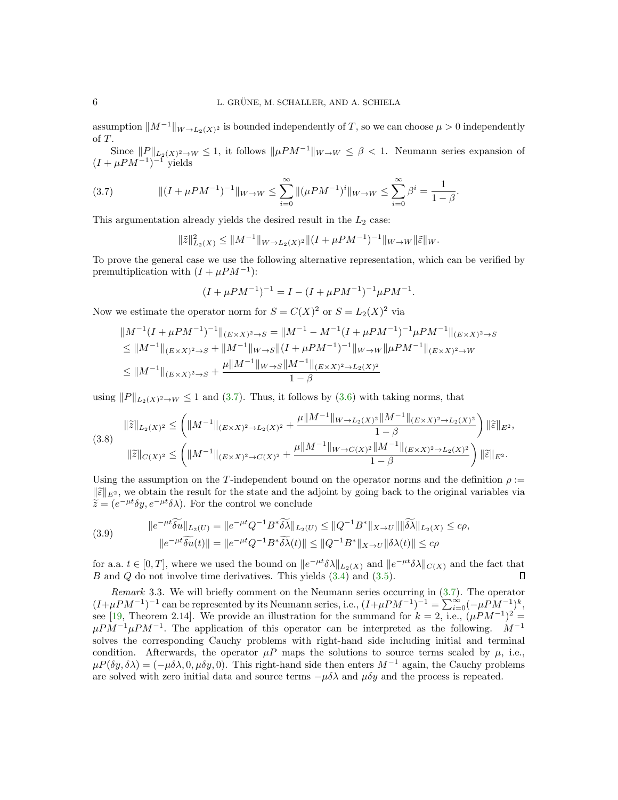assumption  $||M^{-1}||_{W\to L_2(X)^2}$  is bounded independently of T, so we can choose  $\mu > 0$  independently of T.

Since  $||P||_{L_2(X)^2 \to W} \leq 1$ , it follows  $||\mu PM^{-1}||_{W \to W} \leq \beta < 1$ . Neumann series expansion of  $(I + \mu PM^{-1})^{-1}$  yields

<span id="page-5-0"></span>(3.7) 
$$
\| (I + \mu PM^{-1})^{-1} \|_{W \to W} \le \sum_{i=0}^{\infty} \| (\mu PM^{-1})^{i} \|_{W \to W} \le \sum_{i=0}^{\infty} \beta^{i} = \frac{1}{1 - \beta}.
$$

This argumentation already yields the desired result in the  $L_2$  case:

$$
\|\tilde{z}\|_{L_2(X)}^2 \le \|M^{-1}\|_{W \to L_2(X)^2} \|(I + \mu PM^{-1})^{-1}\|_{W \to W} \|\tilde{\varepsilon}\|_{W}.
$$

To prove the general case we use the following alternative representation, which can be verified by premultiplication with  $(I + \mu PM^{-1})$ :

$$
(I + \mu PM^{-1})^{-1} = I - (I + \mu PM^{-1})^{-1} \mu PM^{-1}.
$$

Now we estimate the operator norm for  $S = C(X)^2$  or  $S = L_2(X)^2$  via

$$
||M^{-1}(I + \mu PM^{-1})^{-1}||_{(E \times X)^2 \to S} = ||M^{-1} - M^{-1}(I + \mu PM^{-1})^{-1}\mu PM^{-1}||_{(E \times X)^2 \to S}
$$
  
\n
$$
\leq ||M^{-1}||_{(E \times X)^2 \to S} + ||M^{-1}||_{W \to S} ||(I + \mu PM^{-1})^{-1}||_{W \to W} ||\mu PM^{-1}||_{(E \times X)^2 \to W}
$$
  
\n
$$
\leq ||M^{-1}||_{(E \times X)^2 \to S} + \frac{\mu ||M^{-1}||_{W \to S} ||M^{-1}||_{(E \times X)^2 \to L_2(X)^2}}{1 - \beta}
$$

using  $||P||_{L_2(X)^2 \to W} \le 1$  and [\(3.7\)](#page-5-0). Thus, it follows by [\(3.6\)](#page-4-1) with taking norms, that

$$
(3.8) \quad \|\tilde{z}\|_{L_2(X)^2} \le \left(\|M^{-1}\|_{(E\times X)^2 \to L_2(X)^2} + \frac{\mu \|M^{-1}\|_{W \to L_2(X)^2} \|M^{-1}\|_{(E\times X)^2 \to L_2(X)^2}}{1-\beta}\right) \|\tilde{\varepsilon}\|_{E^2},
$$
\n
$$
(\|\tilde{z}\|_{C(X)^2} \le \left(\|M^{-1}\|_{(E\times X)^2 \to C(X)^2} + \frac{\mu \|M^{-1}\|_{W \to C(X)^2} \|M^{-1}\|_{(E\times X)^2 \to L_2(X)^2}}{1-\beta}\right) \|\tilde{\varepsilon}\|_{E^2}.
$$

Using the assumption on the T-independent bound on the operator norms and the definition  $\rho :=$  $\|\widetilde{\varepsilon}\|_{E^2}$ , we obtain the result for the state and the adjoint by going back to the original variables via  $\widetilde{z} = (e^{-\mu t} \delta y, e^{-\mu t} \delta \lambda)$ . For the control we conclude

<span id="page-5-1"></span>(3.9) 
$$
\|e^{-\mu t}\widetilde{\delta u}\|_{L_2(U)} = \|e^{-\mu t}Q^{-1}B^*\widetilde{\delta\lambda}\|_{L_2(U)} \le \|Q^{-1}B^*\|_{X\to U}\|\|\widetilde{\delta\lambda}\|_{L_2(X)} \le c\rho,
$$

$$
\|e^{-\mu t}\widetilde{\delta u}(t)\| = \|e^{-\mu t}Q^{-1}B^*\widetilde{\delta\lambda}(t)\| \le \|Q^{-1}B^*\|_{X\to U}\|\delta\lambda(t)\| \le c\rho
$$

for a.a.  $t \in [0,T]$ , where we used the bound on  $||e^{-\mu t}\delta \lambda||_{L_2(X)}$  and  $||e^{-\mu t}\delta \lambda||_{C(X)}$  and the fact that B and Q do not involve time derivatives. This yields  $(3.4)$  and  $(3.5)$ . П

Remark 3.3. We will briefly comment on the Neumann series occurring in [\(3.7\)](#page-5-0). The operator  $(I+\mu PM^{-1})^{-1}$  can be represented by its Neumann series, i.e.,  $(I+\mu PM^{-1})^{-1} = \sum_{i=0}^{\infty} (-\mu PM^{-1})^k$ , see [\[19,](#page-24-22) Theorem 2.14]. We provide an illustration for the summand for  $k = 2$ , i.e.,  $(\mu PM^{-1})^2 =$  $\mu PM^{-1}\mu PM^{-1}$ . The application of this operator can be interpreted as the following. M<sup>-1</sup> solves the corresponding Cauchy problems with right-hand side including initial and terminal condition. Afterwards, the operator  $\mu P$  maps the solutions to source terms scaled by  $\mu$ , i.e.,  $\mu P(\delta y, \delta \lambda) = (-\mu \delta \lambda, 0, \mu \delta y, 0)$ . This right-hand side then enters  $M^{-1}$  again, the Cauchy problems are solved with zero initial data and source terms  $-\mu\delta\lambda$  and  $\mu\delta y$  and the process is repeated.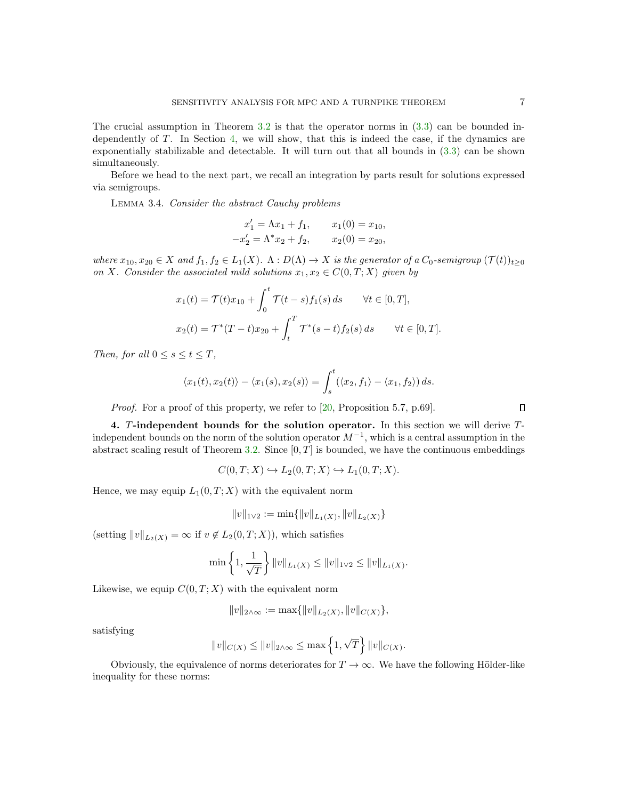The crucial assumption in Theorem [3.2](#page-4-0) is that the operator norms in [\(3.3\)](#page-4-4) can be bounded independently of T. In Section [4,](#page-6-0) we will show, that this is indeed the case, if the dynamics are exponentially stabilizable and detectable. It will turn out that all bounds in [\(3.3\)](#page-4-4) can be shown simultaneously.

Before we head to the next part, we recall an integration by parts result for solutions expressed via semigroups.

<span id="page-6-1"></span>Lemma 3.4. Consider the abstract Cauchy problems

$$
x'_1 = \Lambda x_1 + f_1, \qquad x_1(0) = x_{10},
$$
  

$$
-x'_2 = \Lambda^* x_2 + f_2, \qquad x_2(0) = x_{20},
$$

where  $x_{10}, x_{20} \in X$  and  $f_1, f_2 \in L_1(X)$ .  $\Lambda : D(\Lambda) \to X$  is the generator of a  $C_0$ -semigroup  $(\mathcal{T}(t))_{t>0}$ on X. Consider the associated mild solutions  $x_1, x_2 \in C(0, T; X)$  given by

$$
x_1(t) = \mathcal{T}(t)x_{10} + \int_0^t \mathcal{T}(t-s)f_1(s) ds \quad \forall t \in [0, T],
$$
  

$$
x_2(t) = \mathcal{T}^*(T-t)x_{20} + \int_t^T \mathcal{T}^*(s-t)f_2(s) ds \quad \forall t \in [0, T].
$$

Then, for all  $0 \leq s \leq t \leq T$ ,

$$
\langle x_1(t), x_2(t) \rangle - \langle x_1(s), x_2(s) \rangle = \int_s^t (\langle x_2, f_1 \rangle - \langle x_1, f_2 \rangle) ds.
$$

Proof. For a proof of this property, we refer to [\[20,](#page-24-19) Proposition 5.7, p.69].

<span id="page-6-0"></span>4. T-independent bounds for the solution operator. In this section we will derive Tindependent bounds on the norm of the solution operator  $M^{-1}$ , which is a central assumption in the abstract scaling result of Theorem [3.2.](#page-4-0) Since  $[0, T]$  is bounded, we have the continuous embeddings

$$
C(0,T;X) \hookrightarrow L_2(0,T;X) \hookrightarrow L_1(0,T;X).
$$

Hence, we may equip  $L_1(0,T;X)$  with the equivalent norm

$$
||v||_{1\vee 2} := \min\{||v||_{L_1(X)}, ||v||_{L_2(X)}\}
$$

(setting  $||v||_{L_2(X)} = \infty$  if  $v \notin L_2(0,T;X)$ ), which satisfies

$$
\min\left\{1,\frac{1}{\sqrt{T}}\right\}\|v\|_{L_1(X)}\leq \|v\|_{1\vee 2}\leq \|v\|_{L_1(X)}.
$$

Likewise, we equip  $C(0, T; X)$  with the equivalent norm

$$
||v||_{2\wedge\infty} := \max\{||v||_{L_2(X)}, ||v||_{C(X)}\},\
$$

satisfying

<span id="page-6-2"></span>
$$
||v||_{C(X)} \le ||v||_{2 \wedge \infty} \le \max\left\{1, \sqrt{T}\right\} ||v||_{C(X)}.
$$

Obviously, the equivalence of norms deteriorates for  $T \to \infty$ . We have the following Hölder-like inequality for these norms: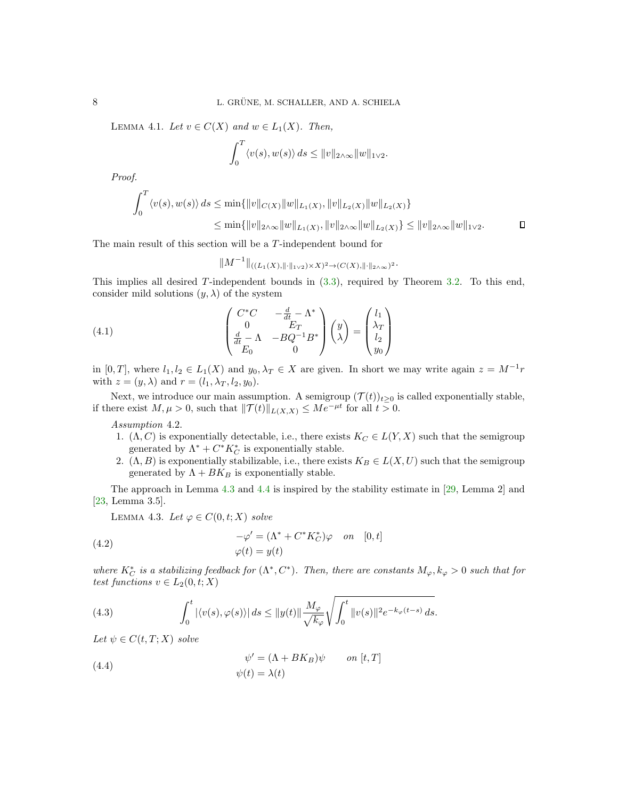LEMMA 4.1. Let  $v \in C(X)$  and  $w \in L_1(X)$ . Then,

$$
\int_0^T \langle v(s), w(s) \rangle ds \le ||v||_{2 \wedge \infty} ||w||_{1 \vee 2}.
$$

Proof.

$$
\int_0^T \langle v(s), w(s) \rangle ds \le \min \{ ||v||_{C(X)} ||w||_{L_1(X)}, ||v||_{L_2(X)} ||w||_{L_2(X)} \}
$$
  

$$
\le \min \{ ||v||_{2 \wedge \infty} ||w||_{L_1(X)}, ||v||_{2 \wedge \infty} ||w||_{L_2(X)} \} \le ||v||_{2 \wedge \infty} ||w||_{1 \vee 2}.
$$

The main result of this section will be a T-independent bound for

$$
||M^{-1}||_{((L_1(X), ||\cdot||_{1\vee2})\times X)^2\to (C(X), ||\cdot||_{2\wedge\infty})^2}.
$$

This implies all desired T-independent bounds in [\(3.3\)](#page-4-4), required by Theorem [3.2.](#page-4-0) To this end, consider mild solutions  $(y, \lambda)$  of the system

<span id="page-7-4"></span>(4.1) 
$$
\begin{pmatrix} C^*C & -\frac{d}{dt} - \Lambda^* \\ 0 & E_T \\ \frac{d}{dt} - \Lambda & -BQ^{-1}B^* \\ E_0 & 0 \end{pmatrix} \begin{pmatrix} y \\ \lambda \end{pmatrix} = \begin{pmatrix} l_1 \\ \lambda_T \\ l_2 \\ y_0 \end{pmatrix}
$$

in [0, T], where  $l_1, l_2 \in L_1(X)$  and  $y_0, \lambda_T \in X$  are given. In short we may write again  $z = M^{-1}r$ with  $z = (y, \lambda)$  and  $r = (l_1, \lambda_T, l_2, y_0)$ .

Next, we introduce our main assumption. A semigroup  $(\mathcal{T}(t))_{t>0}$  is called exponentially stable, if there exist  $M, \mu > 0$ , such that  $||\mathcal{T}(t)||_{L(X,X)} \leq Me^{-\mu t}$  for all  $t > 0$ .

<span id="page-7-5"></span>Assumption 4.2.

- 1.  $(\Lambda, C)$  is exponentially detectable, i.e., there exists  $K_C \in L(Y, X)$  such that the semigroup generated by  $\Lambda^* + C^* K_C^*$  is exponentially stable.
- 2.  $(\Lambda, B)$  is exponentially stabilizable, i.e., there exists  $K_B \in L(X, U)$  such that the semigroup generated by  $\Lambda + BK_B$  is exponentially stable.

The approach in Lemma [4.3](#page-7-0) and [4.4](#page-8-0) is inspired by the stability estimate in [\[29,](#page-24-13) Lemma 2] and [\[23,](#page-24-14) Lemma 3.5].

<span id="page-7-0"></span>LEMMA 4.3. Let  $\varphi \in C(0, t; X)$  solve

<span id="page-7-2"></span>(4.2) 
$$
-\varphi' = (\Lambda^* + C^* K_C^*)\varphi \quad on \quad [0, t]
$$

$$
\varphi(t) = y(t)
$$

where  $K_C^*$  is a stabilizing feedback for  $(\Lambda^*, C^*)$ . Then, there are constants  $M_{\varphi}, k_{\varphi} > 0$  such that for test functions  $v \in L_2(0, t; X)$ 

<span id="page-7-1"></span>(4.3) 
$$
\int_0^t |\langle v(s), \varphi(s) \rangle| ds \le ||y(t)|| \frac{M_\varphi}{\sqrt{k_\varphi}} \sqrt{\int_0^t ||v(s)||^2 e^{-k_\varphi(t-s)} ds}.
$$

Let  $\psi \in C(t,T;X)$  solve

<span id="page-7-3"></span>(4.4) 
$$
\psi' = (\Lambda + BK_B)\psi \qquad on [t, T]
$$

$$
\psi(t) = \lambda(t)
$$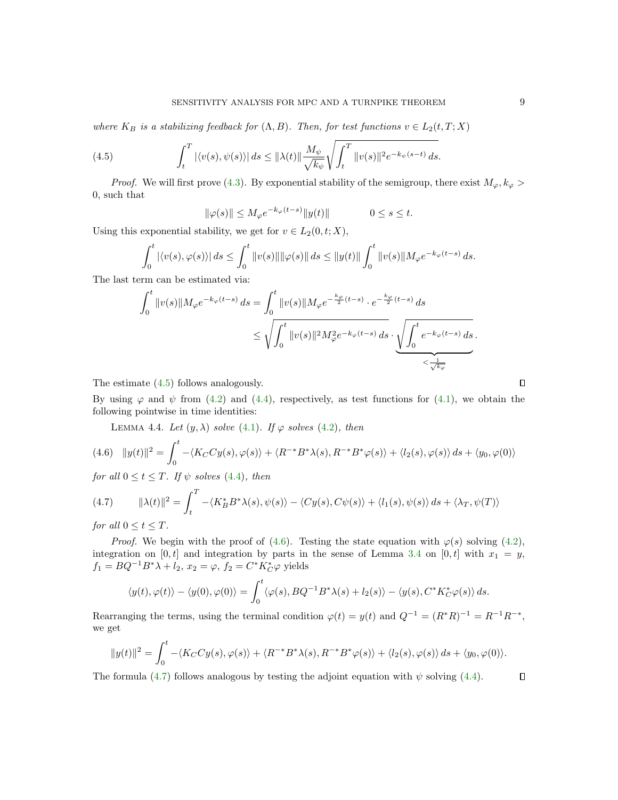where  $K_B$  is a stabilizing feedback for  $(\Lambda, B)$ . Then, for test functions  $v \in L_2(t, T; X)$ 

<span id="page-8-1"></span>(4.5) 
$$
\int_{t}^{T} |\langle v(s), \psi(s) \rangle| ds \leq ||\lambda(t)|| \frac{M_{\psi}}{\sqrt{k_{\psi}}} \sqrt{\int_{t}^{T} ||v(s)||^{2} e^{-k_{\psi}(s-t)} ds}.
$$

*Proof.* We will first prove [\(4.3\)](#page-7-1). By exponential stability of the semigroup, there exist  $M_{\varphi}, k_{\varphi} >$ 0, such that

$$
\|\varphi(s)\| \le M_{\varphi}e^{-k_{\varphi}(t-s)}\|y(t)\| \qquad \qquad 0 \le s \le t.
$$

Using this exponential stability, we get for  $v \in L_2(0, t; X)$ ,

$$
\int_0^t |\langle v(s), \varphi(s) \rangle| ds \le \int_0^t \|v(s)\| \|\varphi(s)\| ds \le \|y(t)\| \int_0^t \|v(s)\| M_{\varphi} e^{-k_{\varphi}(t-s)} ds.
$$

The last term can be estimated via:

$$
\int_0^t \|v(s)\| M_{\varphi} e^{-k_{\varphi}(t-s)} ds = \int_0^t \|v(s)\| M_{\varphi} e^{-\frac{k_{\varphi}}{2}(t-s)} \cdot e^{-\frac{k_{\varphi}}{2}(t-s)} ds
$$
  

$$
\leq \sqrt{\int_0^t \|v(s)\|^2 M_{\varphi}^2 e^{-k_{\varphi}(t-s)} ds} \cdot \underbrace{\sqrt{\int_0^t e^{-k_{\varphi}(t-s)} ds}}_{\leq \frac{1}{\sqrt{k_{\varphi}}}}.
$$

The estimate [\(4.5\)](#page-8-1) follows analogously.

By using  $\varphi$  and  $\psi$  from [\(4.2\)](#page-7-2) and [\(4.4\)](#page-7-3), respectively, as test functions for [\(4.1\)](#page-7-4), we obtain the following pointwise in time identities:

<span id="page-8-0"></span>LEMMA 4.4. Let  $(y, \lambda)$  solve  $(4.1)$ . If  $\varphi$  solves  $(4.2)$ , then

<span id="page-8-2"></span>
$$
(4.6)\quad \|y(t)\|^2 = \int_0^t -\langle K_C C y(s), \varphi(s) \rangle + \langle R^{-*} B^* \lambda(s), R^{-*} B^* \varphi(s) \rangle + \langle l_2(s), \varphi(s) \rangle ds + \langle y_0, \varphi(0) \rangle
$$

for all  $0 \le t \le T$ . If  $\psi$  solves [\(4.4\)](#page-7-3), then

<span id="page-8-3"></span>(4.7) 
$$
\|\lambda(t)\|^2 = \int_t^T -\langle K_B^* B^* \lambda(s), \psi(s) \rangle - \langle Cy(s), C\psi(s) \rangle + \langle l_1(s), \psi(s) \rangle ds + \langle \lambda_T, \psi(T) \rangle
$$

for all  $0 \le t \le T$ .

*Proof.* We begin with the proof of [\(4.6\)](#page-8-2). Testing the state equation with  $\varphi(s)$  solving [\(4.2\)](#page-7-2), integration on [0, t] and integration by parts in the sense of Lemma [3.4](#page-6-1) on [0, t] with  $x_1 = y$ ,  $f_1 = BQ^{-1}B^*\lambda + l_2, x_2 = \varphi, f_2 = C^*K_C^*\varphi$  yields

$$
\langle y(t), \varphi(t) \rangle - \langle y(0), \varphi(0) \rangle = \int_0^t \langle \varphi(s), BQ^{-1}B^* \lambda(s) + l_2(s) \rangle - \langle y(s), C^* K_C^* \varphi(s) \rangle ds.
$$

Rearranging the terms, using the terminal condition  $\varphi(t) = y(t)$  and  $Q^{-1} = (R^*R)^{-1} = R^{-1}R^{-*}$ , we get

$$
||y(t)||^2 = \int_0^t -\langle K_C C y(s), \varphi(s) \rangle + \langle R^{-*} B^* \lambda(s), R^{-*} B^* \varphi(s) \rangle + \langle l_2(s), \varphi(s) \rangle ds + \langle y_0, \varphi(0) \rangle.
$$

The formula [\(4.7\)](#page-8-3) follows analogous by testing the adjoint equation with  $\psi$  solving [\(4.4\)](#page-7-3).

 $\Box$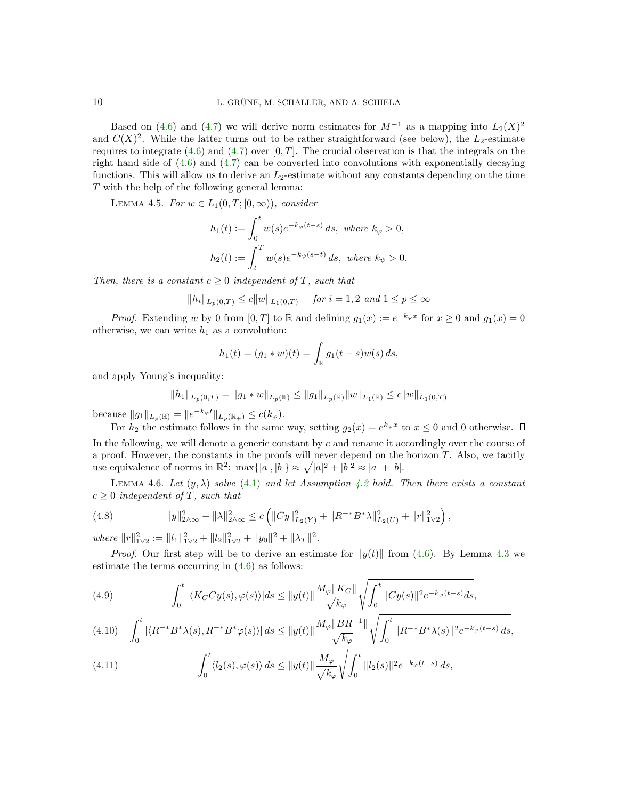Based on [\(4.6\)](#page-8-2) and [\(4.7\)](#page-8-3) we will derive norm estimates for  $M^{-1}$  as a mapping into  $L_2(X)^2$ and  $C(X)^2$ . While the latter turns out to be rather straightforward (see below), the  $L_2$ -estimate requires to integrate [\(4.6\)](#page-8-2) and [\(4.7\)](#page-8-3) over [0, T]. The crucial observation is that the integrals on the right hand side of  $(4.6)$  and  $(4.7)$  can be converted into convolutions with exponentially decaying functions. This will allow us to derive an  $L_2$ -estimate without any constants depending on the time T with the help of the following general lemma:

LEMMA 4.5. For  $w \in L_1(0,T;[0,\infty))$ , consider

<span id="page-9-2"></span>
$$
h_1(t) := \int_0^t w(s)e^{-k_{\varphi}(t-s)} ds, \text{ where } k_{\varphi} > 0,
$$
  

$$
h_2(t) := \int_t^T w(s)e^{-k_{\psi}(s-t)} ds, \text{ where } k_{\psi} > 0.
$$

Then, there is a constant  $c \geq 0$  independent of T, such that

$$
||h_i||_{L_p(0,T)} \le c||w||_{L_1(0,T)} \quad \text{ for } i = 1,2 \text{ and } 1 \le p \le \infty
$$

*Proof.* Extending w by 0 from  $[0, T]$  to R and defining  $g_1(x) := e^{-k_{\varphi}x}$  for  $x \ge 0$  and  $g_1(x) = 0$ otherwise, we can write  $h_1$  as a convolution:

$$
h_1(t) = (g_1 * w)(t) = \int_{\mathbb{R}} g_1(t - s)w(s) ds,
$$

and apply Young's inequality:

$$
||h_1||_{L_p(0,T)} = ||g_1 * w||_{L_p(\mathbb{R})} \le ||g_1||_{L_p(\mathbb{R})} ||w||_{L_1(\mathbb{R})} \le c||w||_{L_1(0,T)}
$$

because  $||g_1||_{L_p(\mathbb{R})} = ||e^{-k_{\varphi}t}||_{L_p(\mathbb{R}_+)} \leq c(k_{\varphi}).$ 

For  $h_2$  the estimate follows in the same way, setting  $g_2(x) = e^{k_{\psi}x}$  to  $x \leq 0$  and 0 otherwise. In the following, we will denote a generic constant by  $c$  and rename it accordingly over the course of a proof. However, the constants in the proofs will never depend on the horizon  $T$ . Also, we tacitly use equivalence of norms in  $\mathbb{R}^2$ :  $\max\{|a|, |b|\} \approx \sqrt{|a|^2 + |b|^2} \approx |a| + |b|$ .

<span id="page-9-4"></span>LEMMA 4.6. Let  $(y, \lambda)$  solve [\(4.1\)](#page-7-4) and let Assumption [4.2](#page-7-5) hold. Then there exists a constant  $c \geq 0$  independent of T, such that

<span id="page-9-3"></span>(4.8) 
$$
||y||_{2\wedge\infty}^2 + ||\lambda||_{2\wedge\infty}^2 \le c \left( ||Cy||_{L_2(Y)}^2 + ||R^{-*}B^*\lambda||_{L_2(U)}^2 + ||r||_{1\vee 2}^2 \right),
$$

where  $||r||_{1\vee 2}^2 := ||l_1||_{1\vee 2}^2 + ||l_2||_{1\vee 2}^2 + ||y_0||^2 + ||\lambda_T||^2$ .

*Proof.* Our first step will be to derive an estimate for  $||y(t)||$  from [\(4.6\)](#page-8-2). By Lemma [4.3](#page-7-0) we estimate the terms occurring in  $(4.6)$  as follows:

<span id="page-9-0"></span>(4.9) 
$$
\int_0^t |\langle K_C C y(s), \varphi(s) \rangle| ds \leq ||y(t)|| \frac{M_\varphi ||K_C||}{\sqrt{k_\varphi}} \sqrt{\int_0^t ||C y(s)||^2 e^{-k_\varphi(t-s)} ds},
$$

<span id="page-9-5"></span>
$$
(4.10)\quad \int_0^t |\langle R^{-*}B^*\lambda(s), R^{-*}B^*\varphi(s)\rangle|\, ds \le \|y(t)\|\frac{M_\varphi\|BR^{-1}\|}{\sqrt{k_\varphi}}\sqrt{\int_0^t \|R^{-*}B^*\lambda(s)\|^2 e^{-k_\varphi(t-s)}\, ds},
$$

<span id="page-9-1"></span>(4.11) 
$$
\int_0^t \langle l_2(s), \varphi(s) \rangle ds \le ||y(t)|| \frac{M_\varphi}{\sqrt{k_\varphi}} \sqrt{\int_0^t ||l_2(s)||^2 e^{-k_\varphi(t-s)} ds},
$$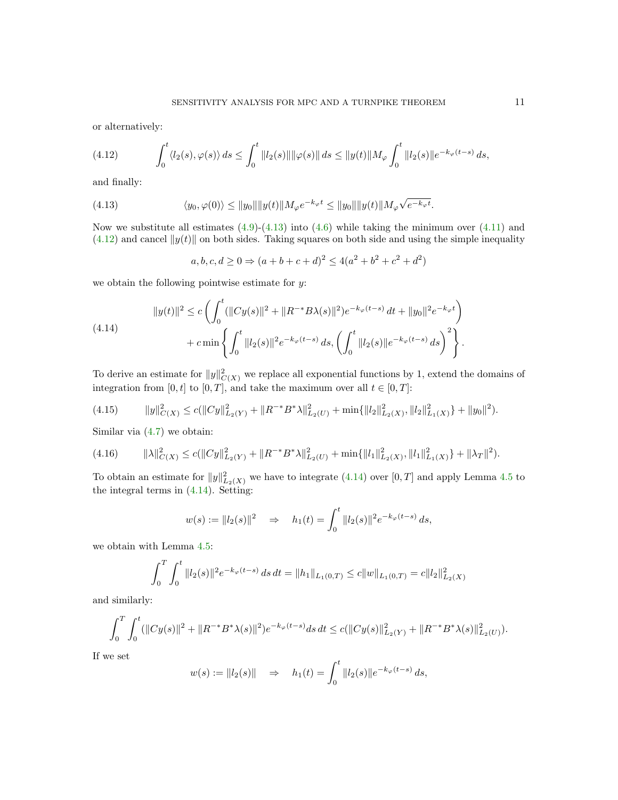or alternatively:

<span id="page-10-1"></span>(4.12) 
$$
\int_0^t \langle l_2(s), \varphi(s) \rangle ds \le \int_0^t \|l_2(s)\| \|\varphi(s)\| ds \le \|y(t)\| M_\varphi \int_0^t \|l_2(s)\| e^{-k_\varphi(t-s)} ds,
$$

and finally:

<span id="page-10-0"></span>(4.13) 
$$
\langle y_0, \varphi(0) \rangle \le ||y_0|| ||y(t)|| M_{\varphi} e^{-k_{\varphi}t} \le ||y_0|| ||y(t)|| M_{\varphi} \sqrt{e^{-k_{\varphi}t}}.
$$

Now we substitute all estimates  $(4.9)-(4.13)$  $(4.9)-(4.13)$  into  $(4.6)$  while taking the minimum over  $(4.11)$  and  $(4.12)$  and cancel  $||y(t)||$  on both sides. Taking squares on both side and using the simple inequality

$$
a, b, c, d \ge 0 \Rightarrow (a+b+c+d)^2 \le 4(a^2+b^2+c^2+d^2)
$$

we obtain the following pointwise estimate for  $y$ :

<span id="page-10-2"></span>
$$
||y(t)||^2 \le c \left( \int_0^t (||Cy(s)||^2 + ||R^{-*}B\lambda(s)||^2) e^{-k_{\varphi}(t-s)} dt + ||y_0||^2 e^{-k_{\varphi}t} \right) + c \min \left\{ \int_0^t ||l_2(s)||^2 e^{-k_{\varphi}(t-s)} ds, \left( \int_0^t ||l_2(s)||e^{-k_{\varphi}(t-s)} ds \right)^2 \right\}.
$$

To derive an estimate for  $||y||^2_{C(X)}$  we replace all exponential functions by 1, extend the domains of integration from [0, t] to [0, T], and take the maximum over all  $t \in [0, T]$ :

<span id="page-10-3"></span>
$$
(4.15) \t\t ||y||_{C(X)}^2 \le c(||Cy||_{L_2(Y)}^2 + ||R^{-*}B^*\lambda||_{L_2(U)}^2 + \min\{||l_2||_{L_2(X)}^2, ||l_2||_{L_1(X)}^2\} + ||y_0||^2).
$$

Similar via  $(4.7)$  we obtain:

<span id="page-10-4"></span>
$$
(4.16) \t\t ||\lambda||_{C(X)}^{2} \le c(||Cy||_{L_{2}(Y)}^{2} + ||R^{-*}B^{*}\lambda||_{L_{2}(U)}^{2} + \min\{||l_{1}||_{L_{2}(X)}^{2}, ||l_{1}||_{L_{1}(X)}^{2}\} + ||\lambda_{T}||^{2}).
$$

To obtain an estimate for  $||y||^2_{L_2(X)}$  we have to integrate [\(4.14\)](#page-10-2) over [0, T] and apply Lemma [4.5](#page-9-2) to the integral terms in [\(4.14\)](#page-10-2). Setting:

$$
w(s) := ||l_2(s)||^2 \Rightarrow h_1(t) = \int_0^t ||l_2(s)||^2 e^{-k_\varphi(t-s)} ds,
$$

we obtain with Lemma [4.5:](#page-9-2)

$$
\int_0^T \int_0^t \|l_2(s)\|^2 e^{-k_\varphi(t-s)} ds dt = \|h_1\|_{L_1(0,T)} \le c \|w\|_{L_1(0,T)} = c \|l_2\|_{L_2(X)}^2
$$

and similarly:

$$
\int_0^T \int_0^t (||Cy(s)||^2 + ||R^{-*}B^*\lambda(s)||^2) e^{-k_\varphi(t-s)} ds dt \le c(||Cy(s)||^2_{L_2(Y)} + ||R^{-*}B^*\lambda(s)||^2_{L_2(U)}).
$$

If we set

$$
w(s) := ||l_2(s)|| \Rightarrow h_1(t) = \int_0^t ||l_2(s)||e^{-k_{\varphi}(t-s)} ds,
$$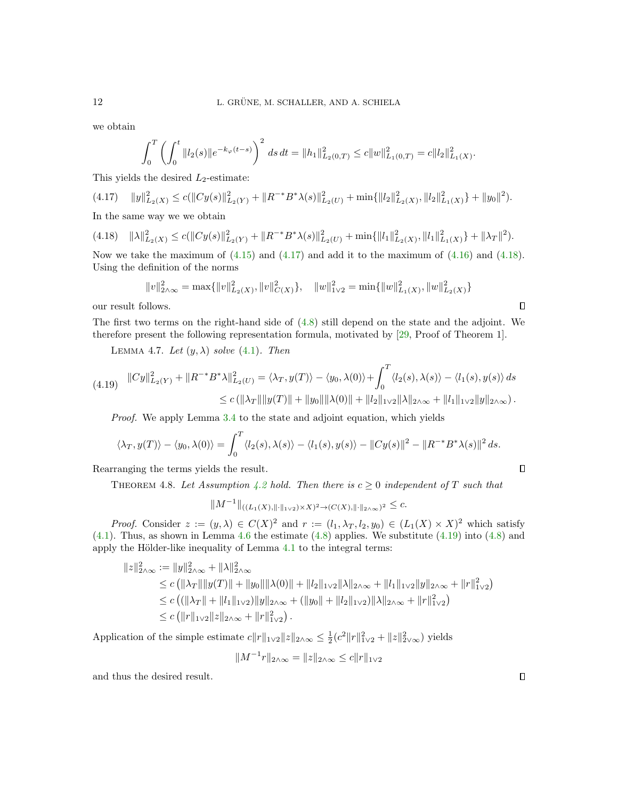we obtain

$$
\int_0^T \left( \int_0^t \|l_2(s)\| e^{-k_\varphi(t-s)} \right)^2 ds dt = \|h_1\|_{L_2(0,T)}^2 \le c \|w\|_{L_1(0,T)}^2 = c \|l_2\|_{L_1(X)}^2.
$$

This yields the desired  $L_2$ -estimate:

<span id="page-11-0"></span>
$$
(4.17) \quad ||y||_{L_2(X)}^2 \le c(||Cy(s)||_{L_2(Y)}^2 + ||R^{-*}B^*\lambda(s)||_{L_2(U)}^2 + \min\{||l_2||_{L_2(X)}^2, ||l_2||_{L_1(X)}^2\} + ||y_0||^2).
$$
  
In the same way we use a  
大is

In the same way we we obtain

<span id="page-11-1"></span> $(4.18)$   $\|\lambda\|_{L_2(X)}^2 \le c(\|Cy(s)\|_{L_2(Y)}^2 + \|R^{-*}B^*\lambda(s)\|_{L_2(U)}^2 + \min\{\|l_1\|_{L_2(X)}^2, \|l_1\|_{L_1(X)}^2\} + \|\lambda_T\|^2).$ 

Now we take the maximum of  $(4.15)$  and  $(4.17)$  and add it to the maximum of  $(4.16)$  and  $(4.18)$ . Using the definition of the norms

$$
||v||_{2\wedge\infty}^2 = \max\{||v||_{L_2(X)}^2, ||v||_{C(X)}^2\}, \quad ||w||_{1\vee 2}^2 = \min\{||w||_{L_1(X)}^2, ||w||_{L_2(X)}^2\}
$$

our result follows.

The first two terms on the right-hand side of [\(4.8\)](#page-9-3) still depend on the state and the adjoint. We therefore present the following representation formula, motivated by [\[29,](#page-24-13) Proof of Theorem 1].

LEMMA 4.7. Let  $(y, \lambda)$  solve  $(4.1)$ . Then

<span id="page-11-2"></span>
$$
(4.19) \quad ||Cy||_{L_2(Y)}^2 + ||R^{-*}B^*\lambda||_{L_2(U)}^2 = \langle \lambda_T, y(T) \rangle - \langle y_0, \lambda(0) \rangle + \int_0^T \langle l_2(s), \lambda(s) \rangle - \langle l_1(s), y(s) \rangle ds
$$
  

$$
\leq c(||\lambda_T|| ||y(T)|| + ||y_0|| ||\lambda(0)|| + ||l_2||_{1\vee 2} ||\lambda||_{2\wedge\infty} + ||l_1||_{1\vee 2} ||y||_{2\wedge\infty}).
$$

Proof. We apply Lemma [3.4](#page-6-1) to the state and adjoint equation, which yields

$$
\langle \lambda_T, y(T) \rangle - \langle y_0, \lambda(0) \rangle = \int_0^T \langle l_2(s), \lambda(s) \rangle - \langle l_1(s), y(s) \rangle - ||Cy(s)||^2 - ||R^{-*}B^*\lambda(s)||^2 ds.
$$

<span id="page-11-3"></span>Rearranging the terms yields the result.

THEOREM 4.8. Let Assumption [4.2](#page-7-5) hold. Then there is  $c \geq 0$  independent of T such that

$$
||M^{-1}||_{((L_1(X),||\cdot||_{1\vee2})\times X)^2 \to (C(X),||\cdot||_{2\wedge\infty})^2} \leq c.
$$

*Proof.* Consider  $z := (y, \lambda) \in C(X)^2$  and  $r := (l_1, \lambda_T, l_2, y_0) \in (L_1(X) \times X)^2$  which satisfy [\(4.1\)](#page-7-4). Thus, as shown in Lemma [4.6](#page-9-4) the estimate [\(4.8\)](#page-9-3) applies. We substitute [\(4.19\)](#page-11-2) into [\(4.8\)](#page-9-3) and apply the Hölder-like inequality of Lemma  $4.1$  to the integral terms:

$$
||z||_{2\wedge\infty}^{2} := ||y||_{2\wedge\infty}^{2} + ||\lambda||_{2\wedge\infty}^{2}
$$
  
\n
$$
\leq c (||\lambda_{T}|| ||y(T)|| + ||y_{0}|| ||\lambda(0)|| + ||l_{2}||_{1\vee2} ||\lambda||_{2\wedge\infty} + ||l_{1}||_{1\vee2} ||y||_{2\wedge\infty} + ||r||_{1\vee2}^{2})
$$
  
\n
$$
\leq c ((||\lambda_{T}|| + ||l_{1}||_{1\vee2}) ||y||_{2\wedge\infty} + (||y_{0}|| + ||l_{2}||_{1\vee2}) ||\lambda||_{2\wedge\infty} + ||r||_{1\vee2}^{2})
$$
  
\n
$$
\leq c (||r||_{1\vee2} ||z||_{2\wedge\infty} + ||r||_{1\vee2}^{2}).
$$

Application of the simple estimate  $c||r||_{1\vee2}||z||_{2\wedge\infty} \leq \frac{1}{2}(c^2||r||_{1\vee2}^2 + ||z||_{2\vee\infty}^2)$  yields

$$
||M^{-1}r||_{2\wedge\infty} = ||z||_{2\wedge\infty} \le c||r||_{1\vee2}
$$

and thus the desired result.

 $\Box$ 

<span id="page-11-4"></span> $\Box$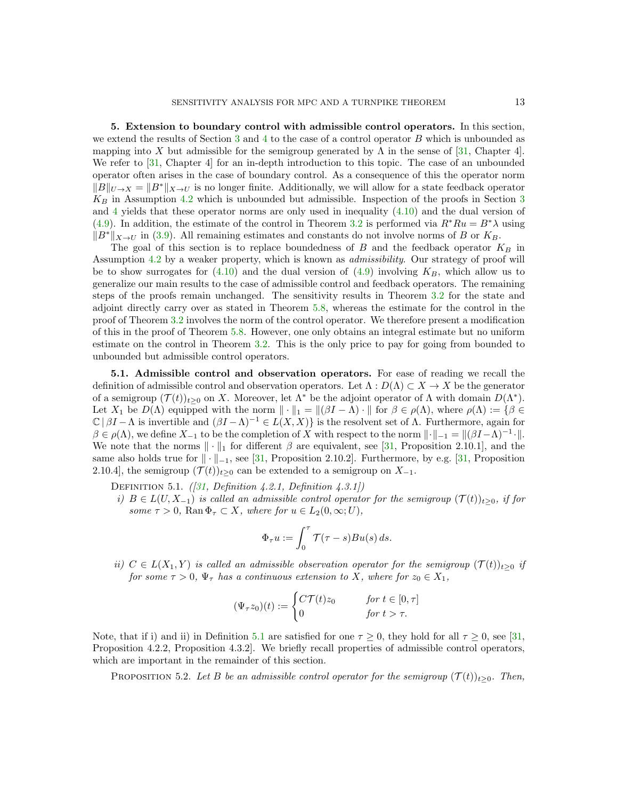<span id="page-12-0"></span>5. Extension to boundary control with admissible control operators. In this section, we extend the results of Section [3](#page-3-0) and [4](#page-6-0) to the case of a control operator B which is unbounded as mapping into X but admissible for the semigroup generated by  $\Lambda$  in the sense of [\[31,](#page-24-1) Chapter 4]. We refer to [\[31,](#page-24-1) Chapter 4] for an in-depth introduction to this topic. The case of an unbounded operator often arises in the case of boundary control. As a consequence of this the operator norm  $||B||_{U\to X} = ||B^*||_{X\to U}$  is no longer finite. Additionally, we will allow for a state feedback operator  $K_B$  in Assumption [4.2](#page-7-5) which is unbounded but admissible. Inspection of the proofs in Section [3](#page-3-0) and  $4$  yields that these operator norms are only used in inequality  $(4.10)$  and the dual version of [\(4.9\)](#page-9-0). In addition, the estimate of the control in Theorem [3.2](#page-4-0) is performed via  $R^*Ru = B^*\lambda$  using  $||B^*||_{X\to U}$  in [\(3.9\)](#page-5-1). All remaining estimates and constants do not involve norms of B or  $K_B$ .

The goal of this section is to replace boundedness of B and the feedback operator  $K_B$  in Assumption [4.2](#page-7-5) by a weaker property, which is known as admissibility. Our strategy of proof will be to show surrogates for  $(4.10)$  and the dual version of  $(4.9)$  involving  $K_B$ , which allow us to generalize our main results to the case of admissible control and feedback operators. The remaining steps of the proofs remain unchanged. The sensitivity results in Theorem [3.2](#page-4-0) for the state and adjoint directly carry over as stated in Theorem [5.8,](#page-15-0) whereas the estimate for the control in the proof of Theorem [3.2](#page-4-0) involves the norm of the control operator. We therefore present a modification of this in the proof of Theorem [5.8.](#page-15-0) However, one only obtains an integral estimate but no uniform estimate on the control in Theorem [3.2.](#page-4-0) This is the only price to pay for going from bounded to unbounded but admissible control operators.

5.1. Admissible control and observation operators. For ease of reading we recall the definition of admissible control and observation operators. Let  $\Lambda : D(\Lambda) \subset X \to X$  be the generator of a semigroup  $(\mathcal{T}(t))_{t\geq0}$  on X. Moreover, let  $\Lambda^*$  be the adjoint operator of  $\Lambda$  with domain  $D(\Lambda^*)$ . Let  $X_1$  be  $D(\Lambda)$  equipped with the norm  $\|\cdot\|_1 = \|(\beta I - \Lambda) \cdot \|$  for  $\beta \in \rho(\Lambda)$ , where  $\rho(\Lambda) := \{\beta \in$  $\mathbb{C}$  | βI –  $\Lambda$  is invertible and  $(\beta I - \Lambda)^{-1} \in L(X, X)$ } is the resolvent set of  $\Lambda$ . Furthermore, again for  $\beta \in \rho(\Lambda)$ , we define  $X_{-1}$  to be the completion of X with respect to the norm  $\|\cdot\|_{-1} = \|(\beta I - \Lambda)^{-1} \cdot\|.$ We note that the norms  $\|\cdot\|_1$  for different  $\beta$  are equivalent, see [\[31,](#page-24-1) Proposition 2.10.1], and the same also holds true for  $\|\cdot\|_{-1}$ , see [\[31,](#page-24-1) Proposition 2.10.2]. Furthermore, by e.g. [31, Proposition 2.10.4], the semigroup  $(\mathcal{T}(t))_{t>0}$  can be extended to a semigroup on  $X_{-1}$ .

DEFINITION 5.1.  $(31, Definition 4.2.1, Definition 4.3.1])$ 

i)  $B \in L(U, X_{-1})$  is called an admissible control operator for the semigroup  $(\mathcal{T}(t))_{t \geq 0}$ , if for some  $\tau > 0$ , Ran  $\Phi_{\tau} \subset X$ , where for  $u \in L_2(0,\infty;U)$ ,

<span id="page-12-1"></span>
$$
\Phi_{\tau} u := \int_0^{\tau} \mathcal{T}(\tau - s)Bu(s) ds.
$$

ii)  $C \in L(X_1, Y)$  is called an admissible observation operator for the semigroup  $(\mathcal{T}(t))_{t>0}$  if for some  $\tau > 0$ ,  $\Psi_{\tau}$  has a continuous extension to X, where for  $z_0 \in X_1$ ,

<span id="page-12-2"></span>
$$
(\Psi_{\tau}z_0)(t) := \begin{cases} C\mathcal{T}(t)z_0 & \text{for } t \in [0, \tau] \\ 0 & \text{for } t > \tau. \end{cases}
$$

Note, that if i) and ii) in Definition [5.1](#page-12-1) are satisfied for one  $\tau \ge 0$ , they hold for all  $\tau \ge 0$ , see [\[31,](#page-24-1) Proposition 4.2.2, Proposition 4.3.2]. We briefly recall properties of admissible control operators, which are important in the remainder of this section.

PROPOSITION 5.2. Let B be an admissible control operator for the semigroup  $(\mathcal{T}(t))_{t\geq0}$ . Then,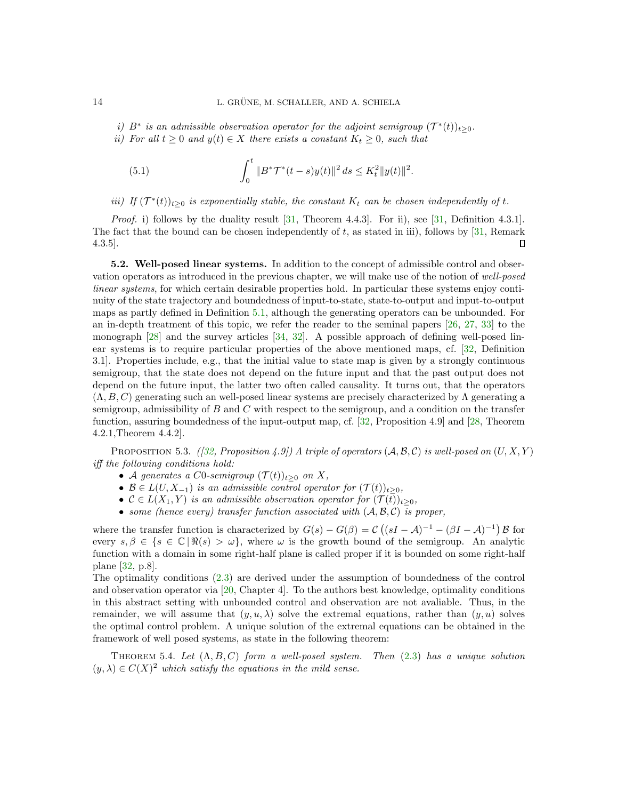- i) B<sup>\*</sup> is an admissible observation operator for the adjoint semigroup  $(\mathcal{T}^*(t))_{t\geq0}$ .
- ii) For all  $t \geq 0$  and  $y(t) \in X$  there exists a constant  $K_t \geq 0$ , such that

<span id="page-13-0"></span>(5.1) 
$$
\int_0^t \|B^*\mathcal{T}^*(t-s)y(t)\|^2 ds \leq K_t^2 \|y(t)\|^2.
$$

iii) If  $(\mathcal{T}^*(t))_{t\geq0}$  is exponentially stable, the constant  $K_t$  can be chosen independently of t.

Proof. i) follows by the duality result [\[31,](#page-24-1) Theorem 4.4.3]. For ii), see [\[31,](#page-24-1) Definition 4.3.1]. The fact that the bound can be chosen independently of t, as stated in iii), follows by  $[31,$  Remark 4.3.5].  $\Box$ 

5.2. Well-posed linear systems. In addition to the concept of admissible control and observation operators as introduced in the previous chapter, we will make use of the notion of well-posed linear systems, for which certain desirable properties hold. In particular these systems enjoy continuity of the state trajectory and boundedness of input-to-state, state-to-output and input-to-output maps as partly defined in Definition [5.1,](#page-12-1) although the generating operators can be unbounded. For an in-depth treatment of this topic, we refer the reader to the seminal papers [\[26,](#page-24-23) [27,](#page-24-24) [33\]](#page-25-2) to the monograph [\[28\]](#page-24-2) and the survey articles [\[34,](#page-25-3) [32\]](#page-25-4). A possible approach of defining well-posed linear systems is to require particular properties of the above mentioned maps, cf. [\[32,](#page-25-4) Definition 3.1]. Properties include, e.g., that the initial value to state map is given by a strongly continuous semigroup, that the state does not depend on the future input and that the past output does not depend on the future input, the latter two often called causality. It turns out, that the operators  $(\Lambda, B, C)$  generating such an well-posed linear systems are precisely characterized by  $\Lambda$  generating a semigroup, admissibility of  $B$  and  $C$  with respect to the semigroup, and a condition on the transfer function, assuring boundedness of the input-output map, cf. [\[32,](#page-25-4) Proposition 4.9] and [\[28,](#page-24-2) Theorem 4.2.1,Theorem 4.4.2].

PROPOSITION 5.3. ([\[32,](#page-25-4) Proposition 4.9]) A triple of operators  $(A, \mathcal{B}, \mathcal{C})$  is well-posed on  $(U, X, Y)$ iff the following conditions hold:

- A generates a C0-semigroup  $(\mathcal{T}(t))_{t\geq0}$  on X,
- $\mathcal{B} \in L(U, X_{-1})$  is an admissible control operator for  $(\mathcal{T}(t))_{t \geq 0}$ ,
- $C \in L(X_1, Y)$  is an admissible observation operator for  $(\mathcal{T}(t))_{t \geq 0}$ ,
- <span id="page-13-1"></span>• some (hence every) transfer function associated with  $(A, \mathcal{B}, \mathcal{C})$  is proper,

where the transfer function is characterized by  $G(s) - G(\beta) = C((sI - A)^{-1} - (\beta I - A)^{-1}) \mathcal{B}$  for every  $s, \beta \in \{s \in \mathbb{C} \mid \Re(s) > \omega\}$ , where  $\omega$  is the growth bound of the semigroup. An analytic function with a domain in some right-half plane is called proper if it is bounded on some right-half plane [\[32,](#page-25-4) p.8].

The optimality conditions [\(2.3\)](#page-2-1) are derived under the assumption of boundedness of the control and observation operator via [\[20,](#page-24-19) Chapter 4]. To the authors best knowledge, optimality conditions in this abstract setting with unbounded control and observation are not avaliable. Thus, in the remainder, we will assume that  $(y, u, \lambda)$  solve the extremal equations, rather than  $(y, u)$  solves the optimal control problem. A unique solution of the extremal equations can be obtained in the framework of well posed systems, as state in the following theorem:

THEOREM 5.4. Let  $(\Lambda, B, C)$  form a well-posed system. Then  $(2.3)$  has a unique solution  $(y, \lambda) \in C(X)^2$  which satisfy the equations in the mild sense.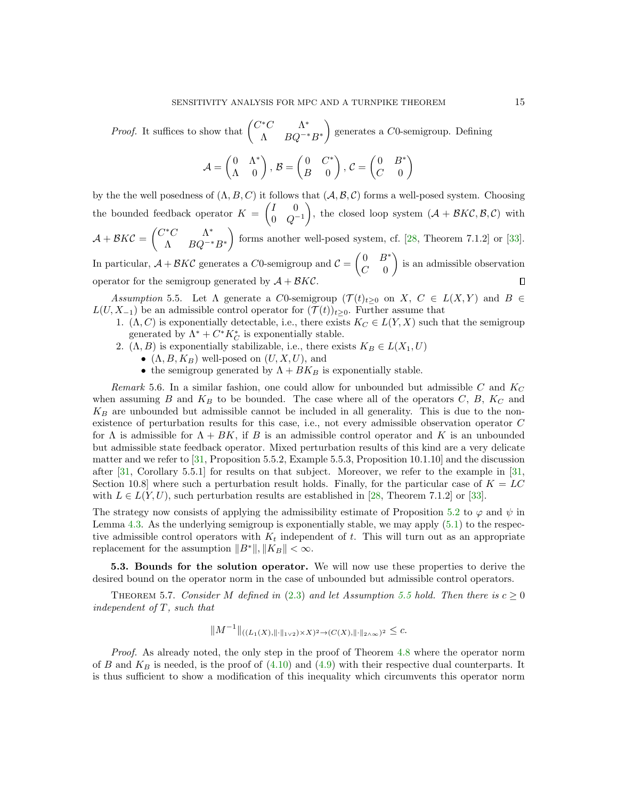*Proof.* It suffices to show that  $\begin{pmatrix} C^*C & \Lambda^* \\ \Lambda & D Q^{-*} \end{pmatrix}$  $\Lambda$   $BQ^{-*}B^*$ ) generates a  $C0$ -semigroup. Defining

$$
\mathcal{A} = \begin{pmatrix} 0 & \Lambda^* \\ \Lambda & 0 \end{pmatrix}, \mathcal{B} = \begin{pmatrix} 0 & C^* \\ B & 0 \end{pmatrix}, \mathcal{C} = \begin{pmatrix} 0 & B^* \\ C & 0 \end{pmatrix}
$$

by the the well posedness of  $(\Lambda, B, C)$  it follows that  $(\mathcal{A}, \mathcal{B}, \mathcal{C})$  forms a well-posed system. Choosing the bounded feedback operator  $K = \begin{pmatrix} I & 0 \\ 0 & 0 \end{pmatrix}$  $0 \quad Q^{-1}$ ), the closed loop system  $(A + \mathcal{B} K\mathcal{C}, \mathcal{B}, \mathcal{C})$  with  $\mathcal{A} + \mathcal{B}K\mathcal{C} = \begin{pmatrix} C^*C & \Lambda^* \\ \Lambda & D\Omega^{-*} \end{pmatrix}$  $\Lambda$   $BQ^{-*}B^*$ forms another well-posed system, cf.  $[28,$  Theorem 7.1.2] or  $[33]$ . In particular,  $A + B K C$  generates a C0-semigroup and  $C = \begin{pmatrix} 0 & B^* \\ C & 0 \end{pmatrix}$  $C=0$ is an admissible observation

operator for the semigroup generated by  $A + \mathcal{B} K\mathcal{C}$ .

<span id="page-14-0"></span>Assumption 5.5. Let  $\Lambda$  generate a C0-semigroup  $(\mathcal{T}(t)_{t\geq0}$  on  $X, C \in L(X,Y)$  and  $B \in$  $L(U, X_{-1})$  be an admissible control operator for  $(\mathcal{T}(t))_{t\geq 0}$ . Further assume that

- 1.  $(\Lambda, C)$  is exponentially detectable, i.e., there exists  $K_C \in L(Y, X)$  such that the semigroup generated by  $\Lambda^* + C^* K_C^*$  is exponentially stable.
- 2.  $(\Lambda, B)$  is exponentially stabilizable, i.e., there exists  $K_B \in L(X_1, U)$ 
	- $(\Lambda, B, K_B)$  well-posed on  $(U, X, U)$ , and
		- the semigroup generated by  $\Lambda + BK_B$  is exponentially stable.

Remark 5.6. In a similar fashion, one could allow for unbounded but admissible C and  $K_C$ when assuming  $B$  and  $K_B$  to be bounded. The case where all of the operators  $C, B, K_C$  and  $K_B$  are unbounded but admissible cannot be included in all generality. This is due to the nonexistence of perturbation results for this case, i.e., not every admissible observation operator C for  $\Lambda$  is admissible for  $\Lambda + BK$ , if B is an admissible control operator and K is an unbounded but admissible state feedback operator. Mixed perturbation results of this kind are a very delicate matter and we refer to [\[31,](#page-24-1) Proposition 5.5.2, Example 5.5.3, Proposition 10.1.10] and the discussion after [\[31,](#page-24-1) Corollary 5.5.1] for results on that subject. Moreover, we refer to the example in [\[31,](#page-24-1) Section 10.8] where such a perturbation result holds. Finally, for the particular case of  $K = LC$ with  $L \in L(Y, U)$ , such perturbation results are established in [\[28,](#page-24-2) Theorem 7.1.2] or [\[33\]](#page-25-2).

The strategy now consists of applying the admissibility estimate of Proposition [5.2](#page-12-2) to  $\varphi$  and  $\psi$  in Lemma [4.3.](#page-7-0) As the underlying semigroup is exponentially stable, we may apply [\(5.1\)](#page-13-0) to the respective admissible control operators with  $K_t$  independent of t. This will turn out as an appropriate replacement for the assumption  $||B^*||, ||K_B|| < \infty$ .

5.3. Bounds for the solution operator. We will now use these properties to derive the desired bound on the operator norm in the case of unbounded but admissible control operators.

THEOREM 5.7. Consider M defined in [\(2.3\)](#page-2-1) and let Assumption [5.5](#page-14-0) hold. Then there is  $c \ge 0$ independent of T, such that

<span id="page-14-1"></span>
$$
||M^{-1}||_{((L_1(X), ||\cdot||_{1\vee2})\times X)^2 \to (C(X), ||\cdot||_{2\wedge\infty})^2} \leq c.
$$

Proof. As already noted, the only step in the proof of Theorem [4.8](#page-11-3) where the operator norm of B and  $K_B$  is needed, is the proof of  $(4.10)$  and  $(4.9)$  with their respective dual counterparts. It is thus sufficient to show a modification of this inequality which circumvents this operator norm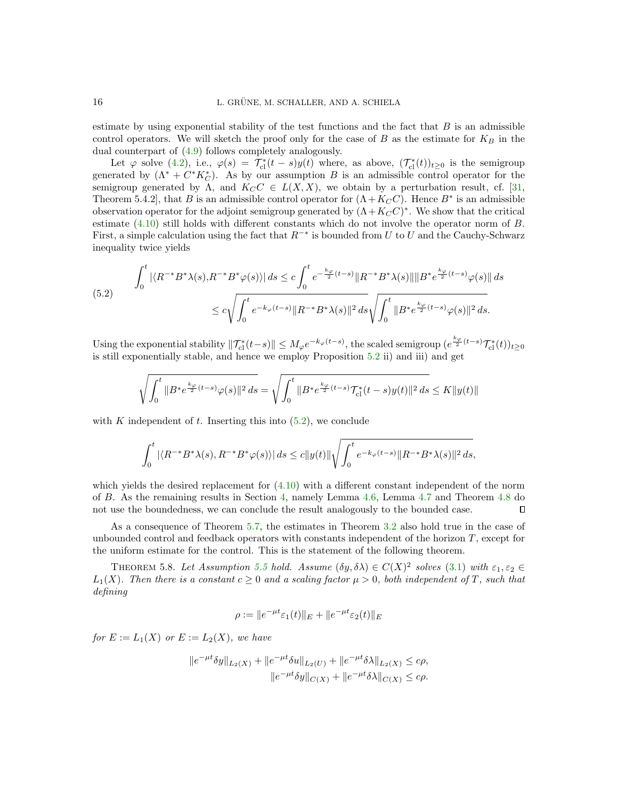estimate by using exponential stability of the test functions and the fact that  $B$  is an admissible control operators. We will sketch the proof only for the case of B as the estimate for  $K_B$  in the dual counterpart of [\(4.9\)](#page-9-0) follows completely analogously.

Let  $\varphi$  solve [\(4.2\)](#page-7-2), i.e.,  $\varphi(s) = \mathcal{T}_{\text{cl}}^*(t-s)y(t)$  where, as above,  $(\mathcal{T}_{\text{cl}}^*(t))_{t\geq 0}$  is the semigroup generated by  $(\Lambda^* + C^*K_C^*)$ . As by our assumption B is an admissible control operator for the semigroup generated by  $\Lambda$ , and  $K_C C \in L(X,X)$ , we obtain by a perturbation result, cf. [\[31,](#page-24-1) Theorem 5.4.2, that B is an admissible control operator for  $(\Lambda + K_C C)$ . Hence  $B^*$  is an admissible observation operator for the adjoint semigroup generated by  $(\Lambda + K_C C)^*$ . We show that the critical estimate [\(4.10\)](#page-9-5) still holds with different constants which do not involve the operator norm of B. First, a simple calculation using the fact that  $R^{-*}$  is bounded from U to U and the Cauchy-Schwarz inequality twice yields

<span id="page-15-1"></span>
$$
\int_0^t |\langle R^{-*}B^*\lambda(s), R^{-*}B^*\varphi(s)\rangle| ds \le c \int_0^t e^{-\frac{k\varphi}{2}(t-s)} \|R^{-*}B^*\lambda(s)\| \|B^*\frac{k\varphi}{2}(t-s)\varphi(s)\| ds
$$
\n
$$
\le c \sqrt{\int_0^t e^{-k\varphi(t-s)} \|R^{-*}B^*\lambda(s)\|^2 ds} \sqrt{\int_0^t \|B^*\frac{k\varphi}{2}(t-s)\varphi(s)\|^2 ds}.
$$

Using the exponential stability  $\|\mathcal{T}_{\text{cl}}^*(t-s)\| \leq M_\varphi e^{-k_\varphi(t-s)}$ , the scaled semigroup  $(e^{\frac{k_\varphi}{2}(t-s)}\mathcal{T}_{\text{cl}}^*(t))_{t\geq 0}$ is still exponentially stable, and hence we employ Proposition [5.2](#page-12-2) ii) and iii) and get

$$
\sqrt{\int_0^t \|B^* e^{\frac{k\varphi}{2}(t-s)} \varphi(s)\|^2 \, ds} = \sqrt{\int_0^t \|B^* e^{\frac{k\varphi}{2}(t-s)} \mathcal{T}_{\textup{cl}}^*(t-s) y(t)\|^2 \, ds} \leq K \|y(t)\|
$$

with K independent of t. Inserting this into  $(5.2)$ , we conclude

$$
\int_0^t |\langle R^{-*}B^*\lambda(s), R^{-*}B^*\varphi(s)\rangle| ds \le c \|y(t)\| \sqrt{\int_0^t e^{-k_{\varphi}(t-s)}} \|R^{-*}B^*\lambda(s)\|^2 ds,
$$

which yields the desired replacement for  $(4.10)$  with a different constant independent of the norm of B. As the remaining results in Section [4,](#page-6-0) namely Lemma [4.6,](#page-9-4) Lemma [4.7](#page-11-4) and Theorem [4.8](#page-11-3) do not use the boundedness, we can conclude the result analogously to the bounded case.  $\Box$ 

As a consequence of Theorem [5.7,](#page-14-1) the estimates in Theorem [3.2](#page-4-0) also hold true in the case of unbounded control and feedback operators with constants independent of the horizon  $T$ , except for the uniform estimate for the control. This is the statement of the following theorem.

THEOREM 5.8. Let Assumption [5.5](#page-14-0) hold. Assume  $(\delta y, \delta \lambda) \in C(X)^2$  solves [\(3.1\)](#page-3-1) with  $\varepsilon_1, \varepsilon_2 \in$  $L_1(X)$ . Then there is a constant  $c > 0$  and a scaling factor  $\mu > 0$ , both independent of T, such that defining

<span id="page-15-0"></span>
$$
\rho := \|e^{-\mu t} \varepsilon_1(t)\|_E + \|e^{-\mu t} \varepsilon_2(t)\|_E
$$

for  $E := L_1(X)$  or  $E := L_2(X)$ , we have

$$
||e^{-\mu t}\delta y||_{L_2(X)} + ||e^{-\mu t}\delta u||_{L_2(U)} + ||e^{-\mu t}\delta \lambda||_{L_2(X)} \leq c\rho,
$$
  

$$
||e^{-\mu t}\delta y||_{C(X)} + ||e^{-\mu t}\delta \lambda||_{C(X)} \leq c\rho.
$$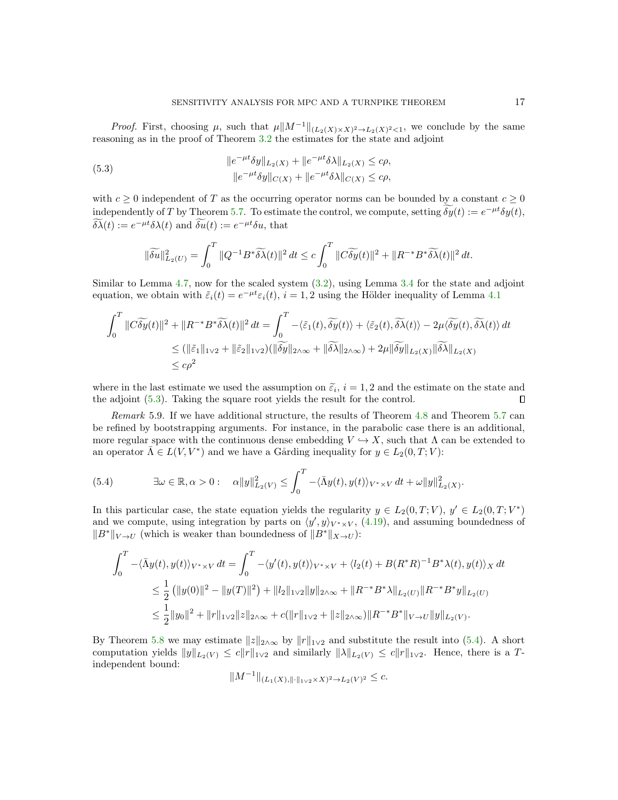*Proof.* First, choosing  $\mu$ , such that  $\mu \| M^{-1} \|_{(L_2(X) \times X)^2 \to L_2(X)^2 < 1}$ , we conclude by the same reasoning as in the proof of Theorem [3.2](#page-4-0) the estimates for the state and adjoint

<span id="page-16-0"></span>(5.3) 
$$
||e^{-\mu t}\delta y||_{L_2(X)} + ||e^{-\mu t}\delta \lambda||_{L_2(X)} \leq c\rho,
$$

$$
||e^{-\mu t}\delta y||_{C(X)} + ||e^{-\mu t}\delta \lambda||_{C(X)} \leq c\rho,
$$

with  $c \geq 0$  independent of T as the occurring operator norms can be bounded by a constant  $c \geq 0$ independently of T by Theorem [5.7.](#page-14-1) To estimate the control, we compute, setting  $\delta y(t) := e^{-\mu t} \delta y(t)$ ,  $\delta \tilde{\lambda}(t) := e^{-\mu t} \delta \lambda(t)$  and  $\delta u(t) := e^{-\mu t} \delta u$ , that

$$
\|\widetilde{\delta u}\|_{L_2(U)}^2 = \int_0^T \|Q^{-1}B^*\widetilde{\delta\lambda}(t)\|^2 dt \le c \int_0^T \|C\widetilde{\delta y}(t)\|^2 + \|R^{-*}B^*\widetilde{\delta\lambda}(t)\|^2 dt.
$$

Similar to Lemma [4.7,](#page-11-4) now for the scaled system [\(3.2\)](#page-3-3), using Lemma [3.4](#page-6-1) for the state and adjoint equation, we obtain with  $\tilde{\varepsilon}_i(t) = e^{-\mu t} \varepsilon_i(t)$ ,  $i = 1, 2$  using the Hölder inequality of Lemma [4.1](#page-6-2)

$$
\int_0^T \|C\widetilde{\delta y}(t)\|^2 + \|R^{-*}B^*\widetilde{\delta\lambda}(t)\|^2 dt = \int_0^T -\langle \tilde{\varepsilon}_1(t), \widetilde{\delta y}(t) \rangle + \langle \tilde{\varepsilon}_2(t), \widetilde{\delta\lambda}(t) \rangle - 2\mu \langle \widetilde{\delta y}(t), \widetilde{\delta\lambda}(t) \rangle dt
$$
  
\n
$$
\leq (\|\tilde{\varepsilon}_1\|_{1\vee2} + \|\tilde{\varepsilon}_2\|_{1\vee2})(\|\widetilde{\delta y}\|_{2\wedge\infty} + \|\widetilde{\delta\lambda}\|_{2\wedge\infty}) + 2\mu \|\widetilde{\delta y}\|_{L_2(X)} \|\widetilde{\delta\lambda}\|_{L_2(X)}
$$
  
\n
$$
\leq c\rho^2
$$

where in the last estimate we used the assumption on  $\tilde{\varepsilon}_i$ ,  $i = 1, 2$  and the estimate on the state and the edition  $(5, 3)$ . Taking the square root violds the result for the control the adjoint [\(5.3\)](#page-16-0). Taking the square root yields the result for the control.  $\Box$ 

Remark 5.9. If we have additional structure, the results of Theorem [4.8](#page-11-3) and Theorem [5.7](#page-14-1) can be refined by bootstrapping arguments. For instance, in the parabolic case there is an additional, more regular space with the continuous dense embedding  $V \hookrightarrow X$ , such that  $\Lambda$  can be extended to an operator  $\overline{\Lambda} \in L(V, V^*)$  and we have a Gårding inequality for  $y \in L_2(0, T; V)$ :

<span id="page-16-1"></span>(5.4) 
$$
\exists \omega \in \mathbb{R}, \alpha > 0: \quad \alpha ||y||_{L_2(V)}^2 \leq \int_0^T -\langle \bar{\Lambda}y(t), y(t) \rangle_{V^* \times V} dt + \omega ||y||_{L_2(X)}^2.
$$

In this particular case, the state equation yields the regularity  $y \in L_2(0,T;V)$ ,  $y' \in L_2(0,T;V^*)$ and we compute, using integration by parts on  $\langle y', y \rangle_{V^* \times V}$ , [\(4.19\)](#page-11-2), and assuming boundedness of  $||B^*||_{V\to U}$  (which is weaker than boundedness of  $||B^*||_{X\to U}$ ):

$$
\int_0^T -\langle \bar{\Lambda}y(t), y(t) \rangle_{V^* \times V} dt = \int_0^T -\langle y'(t), y(t) \rangle_{V^* \times V} + \langle l_2(t) + B(R^*R)^{-1}B^* \lambda(t), y(t) \rangle_X dt
$$
  
\n
$$
\leq \frac{1}{2} (\|y(0)\|^2 - \|y(T)\|^2) + \|l_2\|_{1 \times 2} \|y\|_{2 \wedge \infty} + \|R^{-*}B^* \lambda\|_{L_2(U)} \|R^{-*}B^* y\|_{L_2(U)}
$$
  
\n
$$
\leq \frac{1}{2} \|y_0\|^2 + \|r\|_{1 \times 2} \|z\|_{2 \wedge \infty} + c(\|r\|_{1 \times 2} + \|z\|_{2 \wedge \infty}) \|R^{-*}B^* \|_{V \to U} \|y\|_{L_2(V)}.
$$

By Theorem [5.8](#page-15-0) we may estimate  $||z||_{2\wedge\infty}$  by  $||r||_{1\vee2}$  and substitute the result into [\(5.4\)](#page-16-1). A short computation yields  $||y||_{L_2(V)} \le c||r||_{1\vee 2}$  and similarly  $||\lambda||_{L_2(V)} \le c||r||_{1\vee 2}$ . Hence, there is a Tindependent bound:

$$
||M^{-1}||_{(L_1(X), ||\cdot||_{1\vee2} \times X)^2 \to L_2(V)^2} \leq c.
$$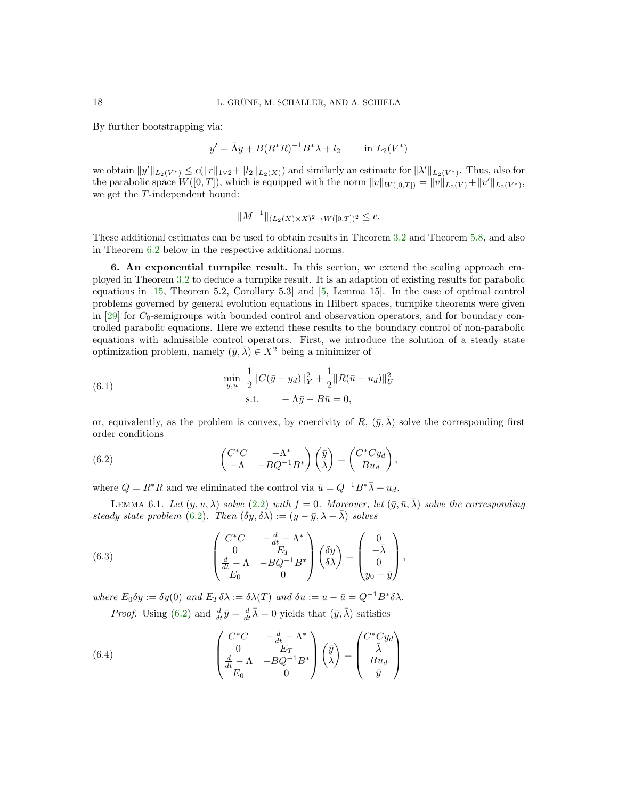By further bootstrapping via:

$$
y' = \bar{\Lambda}y + B(R^*R)^{-1}B^*\lambda + l_2
$$
 in  $L_2(V^*)$ 

we obtain  $||y'||_{L_2(V^*)} \le c(||r||_{1\vee 2} + ||l_2||_{L_2(X)})$  and similarly an estimate for  $||\lambda'||_{L_2(V^*)}$ . Thus, also for the parabolic space  $W([0,T])$ , which is equipped with the norm  $||v||_{W([0,T])} = ||v||_{L_2(V)} + ||v'||_{L_2(V^*)}$ , we get the T-independent bound:

$$
||M^{-1}||_{(L_2(X)\times X)^2 \to W([0,T])^2} \leq c.
$$

These additional estimates can be used to obtain results in Theorem [3.2](#page-4-0) and Theorem [5.8,](#page-15-0) and also in Theorem [6.2](#page-18-0) below in the respective additional norms.

<span id="page-17-0"></span>6. An exponential turnpike result. In this section, we extend the scaling approach employed in Theorem [3.2](#page-4-0) to deduce a turnpike result. It is an adaption of existing results for parabolic equations in [\[15,](#page-24-0) Theorem 5.2, Corollary 5.3] and [\[5,](#page-24-17) Lemma 15]. In the case of optimal control problems governed by general evolution equations in Hilbert spaces, turnpike theorems were given in  $[29]$  for  $C_0$ -semigroups with bounded control and observation operators, and for boundary controlled parabolic equations. Here we extend these results to the boundary control of non-parabolic equations with admissible control operators. First, we introduce the solution of a steady state optimization problem, namely  $(\bar{y}, \bar{\lambda}) \in X^2$  being a minimizer of

<span id="page-17-3"></span>(6.1) 
$$
\min_{\bar{y}, \bar{u}} \frac{1}{2} \|C(\bar{y} - y_d)\|_Y^2 + \frac{1}{2} \|R(\bar{u} - u_d)\|_U^2
$$

$$
\text{s.t.} \quad -\Lambda \bar{y} - B\bar{u} = 0,
$$

or, equivalently, as the problem is convex, by coercivity of R,  $(\bar{y}, \bar{\lambda})$  solve the corresponding first order conditions

<span id="page-17-1"></span>(6.2) 
$$
\begin{pmatrix} C^*C & -\Lambda^* \\ -\Lambda & -BQ^{-1}B^* \end{pmatrix} \begin{pmatrix} \bar{y} \\ \bar{\lambda} \end{pmatrix} = \begin{pmatrix} C^*Cy_d \\ Bu_d \end{pmatrix},
$$

<span id="page-17-4"></span>where  $Q = R^*R$  and we eliminated the control via  $\bar{u} = Q^{-1}B^*\bar{\lambda} + u_d$ .

LEMMA 6.1. Let  $(y, u, \lambda)$  solve  $(2.2)$  with  $f = 0$ . Moreover, let  $(\bar{y}, \bar{u}, \bar{\lambda})$  solve the corresponding steady state problem [\(6.2\)](#page-17-1). Then  $(\delta y, \delta \lambda) := (y - \bar{y}, \lambda - \bar{\lambda})$  solves

<span id="page-17-5"></span>(6.3) 
$$
\begin{pmatrix} C^*C & -\frac{d}{dt} - \Lambda^* \\ 0 & E_T \\ \frac{d}{dt} - \Lambda & -BQ^{-1}B^* \\ E_0 & 0 \end{pmatrix} \begin{pmatrix} \delta y \\ \delta \lambda \end{pmatrix} = \begin{pmatrix} 0 \\ -\bar{\lambda} \\ 0 \\ y_0 - \bar{y} \end{pmatrix},
$$

where  $E_0 \delta y := \delta y(0)$  and  $E_T \delta \lambda := \delta \lambda(T)$  and  $\delta u := u - \bar{u} = Q^{-1} B^* \delta \lambda$ .

*Proof.* Using [\(6.2\)](#page-17-1) and  $\frac{d}{dt}\bar{y} = \frac{d}{dt}\bar{\lambda} = 0$  yields that  $(\bar{y}, \bar{\lambda})$  satisfies

<span id="page-17-2"></span>(6.4) 
$$
\begin{pmatrix} C^*C & -\frac{d}{dt} - \Lambda^* \\ 0 & E_T \\ \frac{d}{dt} - \Lambda & -BQ^{-1}B^* \\ E_0 & 0 \end{pmatrix} \left(\frac{\bar{y}}{\lambda}\right) = \begin{pmatrix} C^*Cy_d \\ \bar{\lambda} \\ Bu_d \\ \bar{y} \end{pmatrix}
$$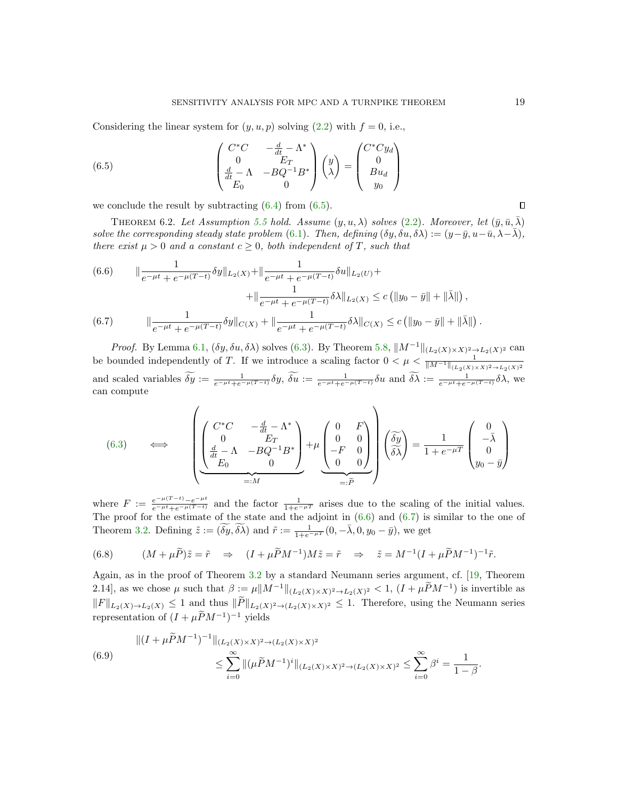Considering the linear system for  $(y, u, p)$  solving  $(2.2)$  with  $f = 0$ , i.e.,

<span id="page-18-1"></span>(6.5) 
$$
\begin{pmatrix} C^*C & -\frac{d}{dt} - \Lambda^* \\ 0 & E_T \\ \frac{d}{dt} - \Lambda & -BQ^{-1}B^* \\ E_0 & 0 \end{pmatrix} \begin{pmatrix} y \\ \lambda \end{pmatrix} = \begin{pmatrix} C^*Cy_d \\ 0 \\ Bu_d \\ y_0 \end{pmatrix}
$$

we conclude the result by subtracting  $(6.4)$  from  $(6.5)$ .

<span id="page-18-0"></span>THEOREM 6.2. Let Assumption [5.5](#page-14-0) hold. Assume  $(y, u, \lambda)$  solves [\(2.2\)](#page-2-2). Moreover, let  $(\bar{y}, \bar{u}, \bar{\lambda})$ solve the corresponding steady state problem [\(6.1\)](#page-17-3). Then, defining  $(\delta y, \delta u, \delta \lambda) := (y - \bar{y}, u - \bar{u}, \lambda - \bar{\lambda}),$ there exist  $\mu > 0$  and a constant  $c \geq 0$ , both independent of T, such that

<span id="page-18-2"></span>(6.6) 
$$
\|\frac{1}{e^{-\mu t} + e^{-\mu(T-t)}} \delta y \|_{L_2(X)} + \|\frac{1}{e^{-\mu t} + e^{-\mu(T-t)}} \delta u \|_{L_2(U)} +
$$

$$
+ \|\frac{1}{e^{-\mu t} + e^{-\mu(T-t)}} \delta \lambda \|_{L_2(X)} \le c \left( \|y_0 - \bar{y}\| + \|\bar{\lambda}\|\right),
$$
  
(6.7) 
$$
\|\frac{1}{e^{-\mu t} + e^{-\mu(T-t)}} \delta y \|_{C(X)} + \|\frac{1}{e^{-\mu t} + e^{-\mu(T-t)}} \delta \lambda \|_{C(X)} \le c \left( \|y_0 - \bar{y}\| + \|\bar{\lambda}\|\right).
$$

<span id="page-18-3"></span>*Proof.* By Lemma [6.1,](#page-17-4)  $(\delta y, \delta u, \delta \lambda)$  solves [\(6.3\)](#page-17-5). By Theorem [5.8,](#page-15-0)  $||M^{-1}||_{(L_2(X)\times X)^2 \to L_2(X)^2}$  can be bounded independently of T. If we introduce a scaling factor  $0 < \mu < \frac{1}{\|M^{-1}\|_{(L_2(X)\times X)^2 \to L_2(X)^2}}$ and scaled variables  $\delta y := \frac{1}{e^{-\mu t} + e^{-\mu(T-t)}} \delta y$ ,  $\delta u := \frac{1}{e^{-\mu t} + e^{-\mu(T-t)}} \delta u$  and  $\delta \lambda := \frac{1}{e^{-\mu t} + e^{-\mu(T-t)}} \delta \lambda$ , we can compute

(6.3) 
$$
\iff \left( \underbrace{\begin{pmatrix} C^*C & -\frac{d}{dt} - \Lambda^* \\ 0 & E_T \\ \frac{d}{dt} - \Lambda & -BQ^{-1}B^* \end{pmatrix}}_{=:M} + \mu \underbrace{\begin{pmatrix} 0 & F \\ 0 & 0 \\ -F & 0 \end{pmatrix}}_{=: \tilde{P}} \right) \begin{pmatrix} \tilde{\delta y} \\ \tilde{\delta \lambda} \end{pmatrix} = \frac{1}{1 + e^{-\mu T}} \begin{pmatrix} 0 \\ -\bar{\lambda} \\ 0 \\ y_0 - \bar{y} \end{pmatrix}
$$

where  $F := \frac{e^{-\mu(T-t)} - e^{-\mu t}}{e^{-\mu t} + e^{-\mu(T-t)}}$  and the factor  $\frac{1}{1+e^{-\mu T}}$  arises due to the scaling of the initial values. The proof for the estimate of the state and the adjoint in [\(6.6\)](#page-18-2) and [\(6.7\)](#page-18-3) is similar to the one of Theorem [3.2.](#page-4-0) Defining  $\tilde{z} := (\widetilde{\delta y}, \widetilde{\delta \lambda})$  and  $\tilde{r} := \frac{1}{1 + e^{-\mu T}}(0, -\overline{\lambda}, 0, y_0 - \overline{y})$ , we get

<span id="page-18-4"></span>(6.8) 
$$
(M+\mu\widetilde{P})\widetilde{z}=\widetilde{r} \Rightarrow (I+\mu\widetilde{P}M^{-1})M\widetilde{z}=\widetilde{r} \Rightarrow \widetilde{z}=M^{-1}(I+\mu\widetilde{P}M^{-1})^{-1}\widetilde{r}.
$$

Again, as in the proof of Theorem [3.2](#page-4-0) by a standard Neumann series argument, cf. [\[19,](#page-24-22) Theorem 2.14], as we chose  $\mu$  such that  $\beta := \mu \|M^{-1}\|_{(L_2(X)\times X)^2 \to L_2(X)^2} < 1$ ,  $(I + \mu \tilde{P}M^{-1})$  is invertible as  $||F||_{L_2(X)\to L_2(X)} \leq 1$  and thus  $||P||_{L_2(X)^2\to (L_2(X)\times X)^2} \leq 1$ . Therefore, using the Neumann series representation of  $(I + \mu \widetilde{P} M^{-1})^{-1}$  yields

<span id="page-18-5"></span>
$$
\| (I + \mu \widetilde{P} M^{-1})^{-1} \|_{(L_2(X) \times X)^2 \to (L_2(X) \times X)^2}
$$
  
\n
$$
\leq \sum_{i=0}^{\infty} \| (\mu \widetilde{P} M^{-1})^i \|_{(L_2(X) \times X)^2 \to (L_2(X) \times X)^2} \leq \sum_{i=0}^{\infty} \beta^i = \frac{1}{1 - \beta}.
$$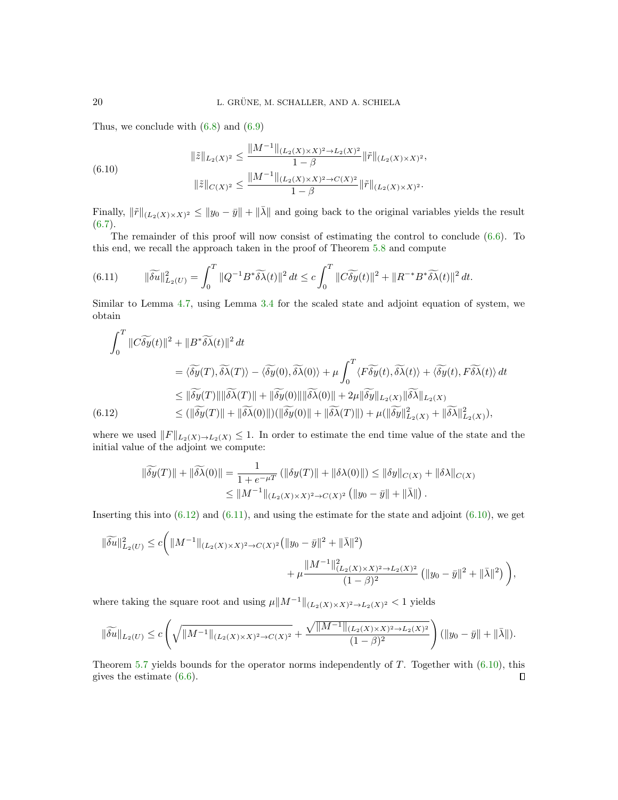Thus, we conclude with  $(6.8)$  and  $(6.9)$ 

<span id="page-19-2"></span>(6.10)  

$$
\|\tilde{z}\|_{L_2(X)^2} \le \frac{\|M^{-1}\|_{(L_2(X)\times X)^2 \to L_2(X)^2}}{1-\beta} \|\tilde{r}\|_{(L_2(X)\times X)^2},
$$

$$
\|\tilde{z}\|_{C(X)^2} \le \frac{\|M^{-1}\|_{(L_2(X)\times X)^2 \to C(X)^2}}{1-\beta} \|\tilde{r}\|_{(L_2(X)\times X)^2}.
$$

Finally,  $\|\tilde{r}\|_{(L_2(X)\times X)^2} \leq \|y_0 - \bar{y}\| + \|\bar{\lambda}\|$  and going back to the original variables yields the result  $(6.7).$  $(6.7).$ 

The remainder of this proof will now consist of estimating the control to conclude [\(6.6\)](#page-18-2). To this end, we recall the approach taken in the proof of Theorem [5.8](#page-15-0) and compute

<span id="page-19-1"></span>(6.11) 
$$
\|\widetilde{\delta u}\|_{L_2(U)}^2 = \int_0^T \|Q^{-1}B^*\widetilde{\delta\lambda}(t)\|^2 dt \leq c \int_0^T \|\widetilde{\delta y}(t)\|^2 + \|R^{-*}B^*\widetilde{\delta\lambda}(t)\|^2 dt.
$$

Similar to Lemma [4.7,](#page-11-4) using Lemma [3.4](#page-6-1) for the scaled state and adjoint equation of system, we obtain

$$
\int_0^T \|\widetilde{C}\widetilde{\delta y}(t)\|^2 + \|B^*\widetilde{\delta\lambda}(t)\|^2 dt
$$
\n
$$
= \langle \widetilde{\delta y}(T), \widetilde{\delta\lambda}(T) \rangle - \langle \widetilde{\delta y}(0), \widetilde{\delta\lambda}(0) \rangle + \mu \int_0^T \langle F \widetilde{\delta y}(t), \widetilde{\delta\lambda}(t) \rangle + \langle \widetilde{\delta y}(t), F \widetilde{\delta\lambda}(t) \rangle dt
$$
\n
$$
\leq \|\widetilde{\delta y}(T)\| \|\widetilde{\delta\lambda}(T)\| + \|\widetilde{\delta y}(0)\| \|\widetilde{\delta\lambda}(0)\| + 2\mu \|\widetilde{\delta y}\|_{L_2(X)} \|\widetilde{\delta\lambda}\|_{L_2(X)}
$$
\n
$$
\leq (\|\widetilde{\delta y}(T)\| + \|\widetilde{\delta\lambda}(0)\|) (\|\widetilde{\delta y}(0)\| + \|\widetilde{\delta\lambda}(T)\|) + \mu (\|\widetilde{\delta y}\|_{L_2(X)}^2 + \|\widetilde{\delta\lambda}\|_{L_2(X)}^2),
$$

<span id="page-19-0"></span>where we used  $||F||_{L_2(X)\to L_2(X)} \leq 1$ . In order to estimate the end time value of the state and the initial value of the adjoint we compute:

$$
\|\widetilde{\delta y}(T)\| + \|\widetilde{\delta \lambda}(0)\| = \frac{1}{1 + e^{-\mu T}} \left( \|\delta y(T)\| + \|\delta \lambda(0)\| \right) \le \|\delta y\|_{C(X)} + \|\delta \lambda\|_{C(X)} \le \|M^{-1}\|_{(L_2(X)\times X)^2 \to C(X)^2} \left( \|y_0 - \bar{y}\| + \|\bar{\lambda}\| \right).
$$

Inserting this into  $(6.12)$  and  $(6.11)$ , and using the estimate for the state and adjoint  $(6.10)$ , we get

$$
\begin{aligned} \|\widetilde{\delta u}\|_{L_2(U)}^2 &\le c \bigg(\|M^{-1}\|_{(L_2(X)\times X)^2\to C(X)^2}\big(\|y_0-\bar{y}\|^2+\|\bar{\lambda}\|^2\big) \\ &+ \mu \frac{\|M^{-1}\|_{(L_2(X)\times X)^2\to L_2(X)^2}^2}{(1-\beta)^2}\left(\|y_0-\bar{y}\|^2+\|\bar{\lambda}\|^2\right)\bigg), \end{aligned}
$$

where taking the square root and using  $\mu \| M^{-1} \|_{(L_2(X) \times X)^2 \to L_2(X)^2} < 1$  yields

$$
\|\widetilde{\delta u}\|_{L_2(U)} \le c \left(\sqrt{\|M^{-1}\|_{(L_2(X)\times X)^2 \to C(X)^2}} + \frac{\sqrt{\|M^{-1}\|_{(L_2(X)\times X)^2 \to L_2(X)^2}}}{(1-\beta)^2}\right) (\|y_0 - \bar{y}\| + \|\bar{\lambda}\|).
$$

Theorem [5.7](#page-14-1) yields bounds for the operator norms independently of  $T$ . Together with  $(6.10)$ , this gives the estimate [\(6.6\)](#page-18-2). $\Box$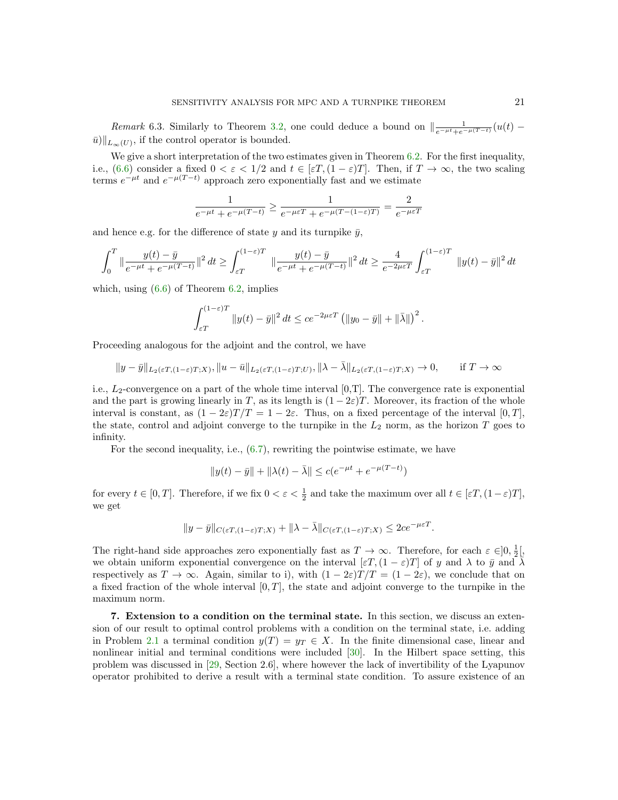Remark 6.3. Similarly to Theorem [3.2,](#page-4-0) one could deduce a bound on  $\left\| \frac{1}{e^{-\mu t}+e^{-\mu(T-t)}}(u(t)-\right\|$  $\bar{u}$ )|| $L_{\infty}(U)$ , if the control operator is bounded.

We give a short interpretation of the two estimates given in Theorem [6.2.](#page-18-0) For the first inequality, i.e., [\(6.6\)](#page-18-2) consider a fixed  $0 < \varepsilon < 1/2$  and  $t \in [\varepsilon T, (1 - \varepsilon)T]$ . Then, if  $T \to \infty$ , the two scaling terms  $e^{-\mu t}$  and  $e^{-\mu(T-t)}$  approach zero exponentially fast and we estimate

$$
\frac{1}{e^{-\mu t} + e^{-\mu(T-t)}} \ge \frac{1}{e^{-\mu \varepsilon T} + e^{-\mu(T-(1-\varepsilon)T)}} = \frac{2}{e^{-\mu \varepsilon T}}
$$

and hence e.g. for the difference of state y and its turnpike  $\bar{y}$ ,

$$
\int_0^T \|\frac{y(t) - \bar{y}}{e^{-\mu t} + e^{-\mu(T - t)}}\|^2 dt \ge \int_{\varepsilon T}^{(1 - \varepsilon)T} \|\frac{y(t) - \bar{y}}{e^{-\mu t} + e^{-\mu(T - t)}}\|^2 dt \ge \frac{4}{e^{-2\mu \varepsilon T}} \int_{\varepsilon T}^{(1 - \varepsilon)T} \|y(t) - \bar{y}\|^2 dt
$$

which, using  $(6.6)$  of Theorem  $6.2$ , implies

$$
\int_{\varepsilon T}^{(1-\varepsilon)T} \|y(t)-\bar{y}\|^2 dt \leq c e^{-2\mu\varepsilon T} \left( \|y_0-\bar{y}\| + \|\bar{\lambda}\|\right)^2.
$$

Proceeding analogous for the adjoint and the control, we have

$$
||y-\bar{y}||_{L_2(\varepsilon T,(1-\varepsilon)T;X)}, ||u-\bar{u}||_{L_2(\varepsilon T,(1-\varepsilon)T;U)}, ||\lambda-\bar{\lambda}||_{L_2(\varepsilon T,(1-\varepsilon)T;X)} \to 0, \quad \text{if } T \to \infty
$$

i.e.,  $L_2$ -convergence on a part of the whole time interval  $[0,T]$ . The convergence rate is exponential and the part is growing linearly in T, as its length is  $(1-2\varepsilon)T$ . Moreover, its fraction of the whole interval is constant, as  $(1 - 2\varepsilon)T/T = 1 - 2\varepsilon$ . Thus, on a fixed percentage of the interval [0, T]. the state, control and adjoint converge to the turnpike in the  $L_2$  norm, as the horizon T goes to infinity.

For the second inequality, i.e., [\(6.7\)](#page-18-3), rewriting the pointwise estimate, we have

$$
\|y(t)-\bar{y}\|+\|\lambda(t)-\bar{\lambda}\|\leq c(e^{-\mu t}+e^{-\mu(T-t)})
$$

for every  $t \in [0, T]$ . Therefore, if we fix  $0 < \varepsilon < \frac{1}{2}$  and take the maximum over all  $t \in [\varepsilon T, (1 - \varepsilon)T]$ , we get

$$
||y - \bar{y}||_{C(\varepsilon T, (1-\varepsilon)T;X)} + ||\lambda - \bar{\lambda}||_{C(\varepsilon T, (1-\varepsilon)T;X)} \leq 2ce^{-\mu\varepsilon T}.
$$

The right-hand side approaches zero exponentially fast as  $T \to \infty$ . Therefore, for each  $\varepsilon \in ]0, \frac{1}{2} \times ]$ we obtain uniform exponential convergence on the interval  $[\varepsilon T, (1 - \varepsilon)T]$  of y and  $\lambda$  to  $\bar{y}$  and  $\bar{\lambda}$ respectively as  $T \to \infty$ . Again, similar to i), with  $(1 - 2\varepsilon)T/T = (1 - 2\varepsilon)$ , we conclude that on a fixed fraction of the whole interval  $[0, T]$ , the state and adjoint converge to the turnpike in the maximum norm.

<span id="page-20-0"></span>7. Extension to a condition on the terminal state. In this section, we discuss an extension of our result to optimal control problems with a condition on the terminal state, i.e. adding in Problem [2.1](#page-1-1) a terminal condition  $y(T) = y_T \in X$ . In the finite dimensional case, linear and nonlinear initial and terminal conditions were included [\[30\]](#page-24-12). In the Hilbert space setting, this problem was discussed in [\[29,](#page-24-13) Section 2.6], where however the lack of invertibility of the Lyapunov operator prohibited to derive a result with a terminal state condition. To assure existence of an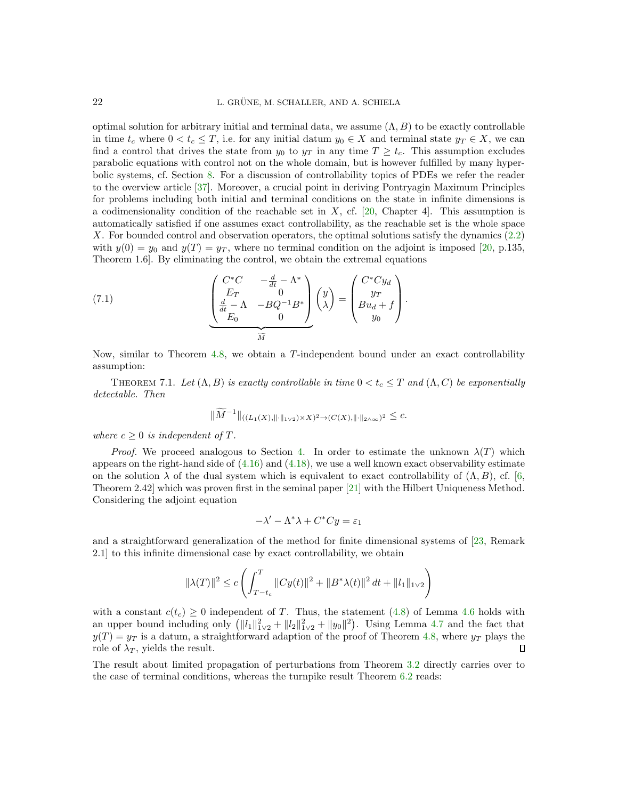optimal solution for arbitrary initial and terminal data, we assume  $(\Lambda, B)$  to be exactly controllable in time  $t_c$  where  $0 < t_c \leq T$ , i.e. for any initial datum  $y_0 \in X$  and terminal state  $y_T \in X$ , we can find a control that drives the state from  $y_0$  to  $y_T$  in any time  $T \geq t_c$ . This assumption excludes parabolic equations with control not on the whole domain, but is however fulfilled by many hyperbolic systems, cf. Section [8.](#page-22-0) For a discussion of controllability topics of PDEs we refer the reader to the overview article [\[37\]](#page-25-5). Moreover, a crucial point in deriving Pontryagin Maximum Principles for problems including both initial and terminal conditions on the state in infinite dimensions is a codimensionality condition of the reachable set in  $X$ , cf. [\[20,](#page-24-19) Chapter 4]. This assumption is automatically satisfied if one assumes exact controllability, as the reachable set is the whole space X. For bounded control and observation operators, the optimal solutions satisfy the dynamics [\(2.2\)](#page-2-2) with  $y(0) = y_0$  and  $y(T) = y_T$ , where no terminal condition on the adjoint is imposed [\[20,](#page-24-19) p.135, Theorem 1.6]. By eliminating the control, we obtain the extremal equations

<span id="page-21-0"></span>(7.1) 
$$
\underbrace{\begin{pmatrix} C^*C & -\frac{d}{dt} - \Lambda^* \\ E_T & 0 \\ \frac{d}{dt} - \Lambda & -BQ^{-1}B^* \\ E_0 & 0 \end{pmatrix}}_{\widetilde{M}} \begin{pmatrix} y \\ y \\ \lambda \end{pmatrix} = \begin{pmatrix} C^*Cy_d \\ y_T \\ Bu_d + f \\ y_0 \end{pmatrix}.
$$

Now, similar to Theorem [4.8,](#page-11-3) we obtain a T-independent bound under an exact controllability assumption:

THEOREM 7.1. Let  $(\Lambda, B)$  is exactly controllable in time  $0 < t_c \leq T$  and  $(\Lambda, C)$  be exponentially detectable. Then

$$
\|\widetilde{M}^{-1}\|_{((L_1(X),\|\cdot\|_{1\vee 2})\times X)^2 \to (C(X),\|\cdot\|_{2\wedge\infty})^2} \leq c.
$$

where  $c > 0$  is independent of T.

*Proof.* We proceed analogous to Section [4.](#page-6-0) In order to estimate the unknown  $\lambda(T)$  which appears on the right-hand side of  $(4.16)$  and  $(4.18)$ , we use a well known exact observability estimate on the solution  $\lambda$  of the dual system which is equivalent to exact controllability of  $(\Lambda, B)$ , cf. [\[6,](#page-24-25) Theorem 2.42] which was proven first in the seminal paper [\[21\]](#page-24-26) with the Hilbert Uniqueness Method. Considering the adjoint equation

$$
-\lambda' - \Lambda^* \lambda + C^* C y = \varepsilon_1
$$

and a straightforward generalization of the method for finite dimensional systems of [\[23,](#page-24-14) Remark 2.1] to this infinite dimensional case by exact controllability, we obtain

$$
\|\lambda(T)\|^2 \le c \left( \int_{T-t_c}^T \|Cy(t)\|^2 + \|B^*\lambda(t)\|^2 dt + \|l_1\|_{1\vee 2} \right)
$$

with a constant  $c(t_c) \geq 0$  independent of T. Thus, the statement [\(4.8\)](#page-9-3) of Lemma [4.6](#page-9-4) holds with an upper bound including only  $(\|l_1\|_{1\vee 2}^2 + \|l_2\|_{1\vee 2}^2 + \|y_0\|^2)$ . Using Lemma [4.7](#page-11-4) and the fact that  $y(T) = y_T$  is a datum, a straightforward adaption of the proof of Theorem [4.8,](#page-11-3) where  $y_T$  plays the role of  $\lambda_T$ , yields the result. Л

The result about limited propagation of perturbations from Theorem [3.2](#page-4-0) directly carries over to the case of terminal conditions, whereas the turnpike result Theorem [6.2](#page-18-0) reads: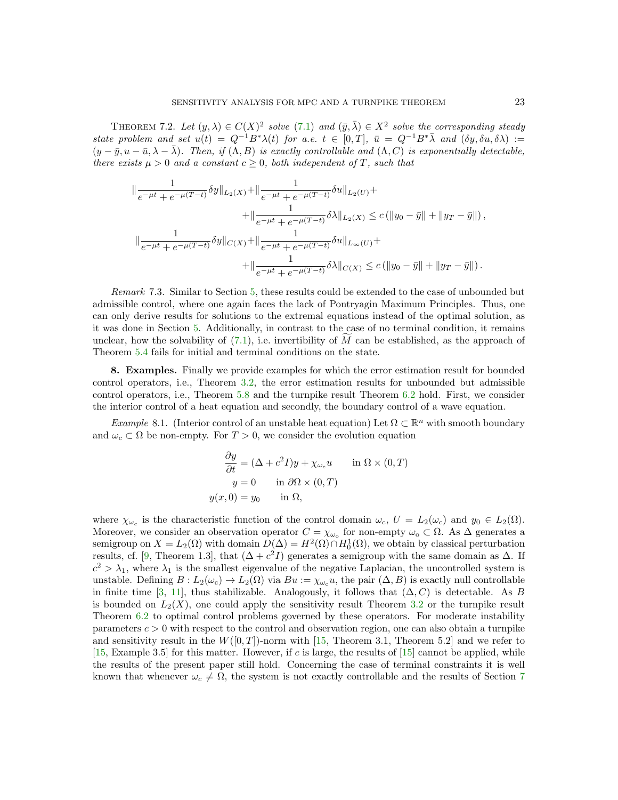THEOREM 7.2. Let  $(y, \lambda) \in C(X)^2$  solve  $(7.1)$  and  $(\bar{y}, \bar{\lambda}) \in X^2$  solve the corresponding steady state problem and set  $u(t) = Q^{-1}B^*\lambda(t)$  for a.e.  $t \in [0,T]$ ,  $\bar{u} = Q^{-1}B^*\bar{\lambda}$  and  $(\delta y, \delta u, \delta \lambda) :=$  $(y - \bar{y}, u - \bar{u}, \lambda - \bar{\lambda})$ . Then, if  $(\Lambda, B)$  is exactly controllable and  $(\Lambda, C)$  is exponentially detectable, there exists  $\mu > 0$  and a constant  $c \geq 0$ , both independent of T, such that

$$
\begin{split} \|\frac{1}{e^{-\mu t}+e^{-\mu (T-t)}}\delta y\|_{L_{2}(X)}+\|\frac{1}{e^{-\mu t}+e^{-\mu (T-t)}}\delta u\|_{L_{2}(U)}+\\+\|\frac{1}{e^{-\mu t}+e^{-\mu (T-t)}}\delta \lambda\|_{L_{2}(X)} &\leq c\left(\|y_{0}-\bar{y}\|+\|y_{T}-\bar{y}\|\right),\\ \|\frac{1}{e^{-\mu t}+e^{-\mu (T-t)}}\delta y\|_{C(X)}+\|\frac{1}{e^{-\mu t}+e^{-\mu (T-t)}}\delta u\|_{L_{\infty}(U)}+\\+\|\frac{1}{e^{-\mu t}+e^{-\mu (T-t)}}\delta \lambda\|_{C(X)} &\leq c\left(\|y_{0}-\bar{y}\|+\|y_{T}-\bar{y}\|\right). \end{split}
$$

Remark 7.3. Similar to Section [5,](#page-12-0) these results could be extended to the case of unbounded but admissible control, where one again faces the lack of Pontryagin Maximum Principles. Thus, one can only derive results for solutions to the extremal equations instead of the optimal solution, as it was done in Section [5.](#page-12-0) Additionally, in contrast to the case of no terminal condition, it remains unclear, how the solvability of  $(7.1)$ , i.e. invertibility of M can be established, as the approach of Theorem [5.4](#page-13-1) fails for initial and terminal conditions on the state.

<span id="page-22-0"></span>8. Examples. Finally we provide examples for which the error estimation result for bounded control operators, i.e., Theorem [3.2,](#page-4-0) the error estimation results for unbounded but admissible control operators, i.e., Theorem [5.8](#page-15-0) and the turnpike result Theorem [6.2](#page-18-0) hold. First, we consider the interior control of a heat equation and secondly, the boundary control of a wave equation.

Example 8.1. (Interior control of an unstable heat equation) Let  $\Omega \subset \mathbb{R}^n$  with smooth boundary and  $\omega_c \subset \Omega$  be non-empty. For  $T > 0$ , we consider the evolution equation

$$
\frac{\partial y}{\partial t} = (\Delta + c^2 I)y + \chi_{\omega_c} u \quad \text{in } \Omega \times (0, T)
$$

$$
y = 0 \quad \text{in } \partial \Omega \times (0, T)
$$

$$
y(x, 0) = y_0 \quad \text{in } \Omega,
$$

where  $\chi_{\omega_c}$  is the characteristic function of the control domain  $\omega_c$ ,  $U = L_2(\omega_c)$  and  $y_0 \in L_2(\Omega)$ . Moreover, we consider an observation operator  $C = \chi_{\omega_{o}}$  for non-empty  $\omega_{o} \subset \Omega$ . As  $\Delta$  generates a semigroup on  $X = L_2(\Omega)$  with domain  $D(\Delta) = H^2(\Omega) \cap H_0^1(\Omega)$ , we obtain by classical perturbation results, cf. [\[9,](#page-24-20) Theorem 1.3], that  $(\Delta + c^2I)$  generates a semigroup with the same domain as  $\Delta$ . If  $c^2 > \lambda_1$ , where  $\lambda_1$  is the smallest eigenvalue of the negative Laplacian, the uncontrolled system is unstable. Defining  $B: L_2(\omega_{\rm c}) \to L_2(\Omega)$  via  $Bu := \chi_{\omega_{\rm c}} u$ , the pair  $(\Delta, B)$  is exactly null controllable in finite time [\[3,](#page-24-27) [11\]](#page-24-28), thus stabilizable. Analogously, it follows that  $(\Delta, C)$  is detectable. As B is bounded on  $L_2(X)$ , one could apply the sensitivity result Theorem [3.2](#page-4-0) or the turnpike result Theorem [6.2](#page-18-0) to optimal control problems governed by these operators. For moderate instability parameters  $c > 0$  with respect to the control and observation region, one can also obtain a turnpike and sensitivity result in the  $W([0, T])$ -norm with [\[15,](#page-24-0) Theorem 3.1, Theorem 5.2] and we refer to  $[15, \text{Example } 3.5]$  $[15, \text{Example } 3.5]$  for this matter. However, if c is large, the results of  $[15]$  cannot be applied, while the results of the present paper still hold. Concerning the case of terminal constraints it is well known that whenever  $\omega_c \neq \Omega$ , the system is not exactly controllable and the results of Section [7](#page-20-0)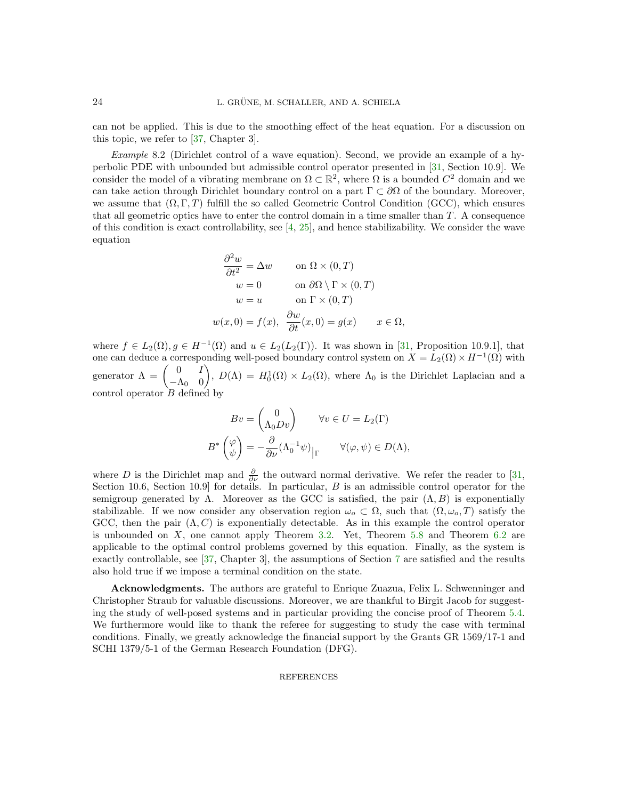can not be applied. This is due to the smoothing effect of the heat equation. For a discussion on this topic, we refer to [\[37,](#page-25-5) Chapter 3].

Example 8.2 (Dirichlet control of a wave equation). Second, we provide an example of a hyperbolic PDE with unbounded but admissible control operator presented in [\[31,](#page-24-1) Section 10.9]. We consider the model of a vibrating membrane on  $\Omega \subset \mathbb{R}^2$ , where  $\Omega$  is a bounded  $C^2$  domain and we can take action through Dirichlet boundary control on a part  $\Gamma \subset \partial\Omega$  of the boundary. Moreover, we assume that  $(\Omega, \Gamma, T)$  fulfill the so called Geometric Control Condition (GCC), which ensures that all geometric optics have to enter the control domain in a time smaller than T. A consequence of this condition is exact controllability, see  $[4, 25]$  $[4, 25]$ , and hence stabilizability. We consider the wave equation

$$
\frac{\partial^2 w}{\partial t^2} = \Delta w \qquad \text{on } \Omega \times (0, T)
$$
  
\n
$$
w = 0 \qquad \text{on } \partial \Omega \setminus \Gamma \times (0, T)
$$
  
\n
$$
w = u \qquad \text{on } \Gamma \times (0, T)
$$
  
\n
$$
w(x, 0) = f(x), \ \frac{\partial w}{\partial t}(x, 0) = g(x) \qquad x \in \Omega,
$$

where  $f \in L_2(\Omega)$ ,  $g \in H^{-1}(\Omega)$  and  $u \in L_2(L_2(\Gamma))$ . It was shown in [\[31,](#page-24-1) Proposition 10.9.1], that one can deduce a corresponding well-posed boundary control system on  $X = L_2(\Omega) \times H^{-1}(\Omega)$  with generator  $\Lambda = \begin{pmatrix} 0 & I \\ A & 0 \end{pmatrix}$  $-\Lambda_0$  0 ),  $D(\Lambda) = H_0^1(\Omega) \times L_2(\Omega)$ , where  $\Lambda_0$  is the Dirichlet Laplacian and a control operator  $B$  defined by

$$
Bv = \begin{pmatrix} 0 \\ \Lambda_0 Dv \end{pmatrix} \quad \forall v \in U = L_2(\Gamma)
$$

$$
B^* \begin{pmatrix} \varphi \\ \psi \end{pmatrix} = -\frac{\partial}{\partial \nu} (\Lambda_0^{-1} \psi) \Big|_{\Gamma} \quad \forall (\varphi, \psi) \in D(\Lambda),
$$

where D is the Dirichlet map and  $\frac{\partial}{\partial \nu}$  the outward normal derivative. We refer the reader to [\[31,](#page-24-1) Section 10.6, Section 10.9] for details. In particular,  $B$  is an admissible control operator for the semigroup generated by  $\Lambda$ . Moreover as the GCC is satisfied, the pair  $(\Lambda, B)$  is exponentially stabilizable. If we now consider any observation region  $\omega_o \subset \Omega$ , such that  $(\Omega, \omega_o, T)$  satisfy the GCC, then the pair  $(\Lambda, C)$  is exponentially detectable. As in this example the control operator is unbounded on X, one cannot apply Theorem [3.2.](#page-4-0) Yet, Theorem [5.8](#page-15-0) and Theorem [6.2](#page-18-0) are applicable to the optimal control problems governed by this equation. Finally, as the system is exactly controllable, see [\[37,](#page-25-5) Chapter 3], the assumptions of Section [7](#page-20-0) are satisfied and the results also hold true if we impose a terminal condition on the state.

Acknowledgments. The authors are grateful to Enrique Zuazua, Felix L. Schwenninger and Christopher Straub for valuable discussions. Moreover, we are thankful to Birgit Jacob for suggesting the study of well-posed systems and in particular providing the concise proof of Theorem [5.4.](#page-13-1) We furthermore would like to thank the referee for suggesting to study the case with terminal conditions. Finally, we greatly acknowledge the financial support by the Grants GR 1569/17-1 and SCHI 1379/5-1 of the German Research Foundation (DFG).

## REFERENCES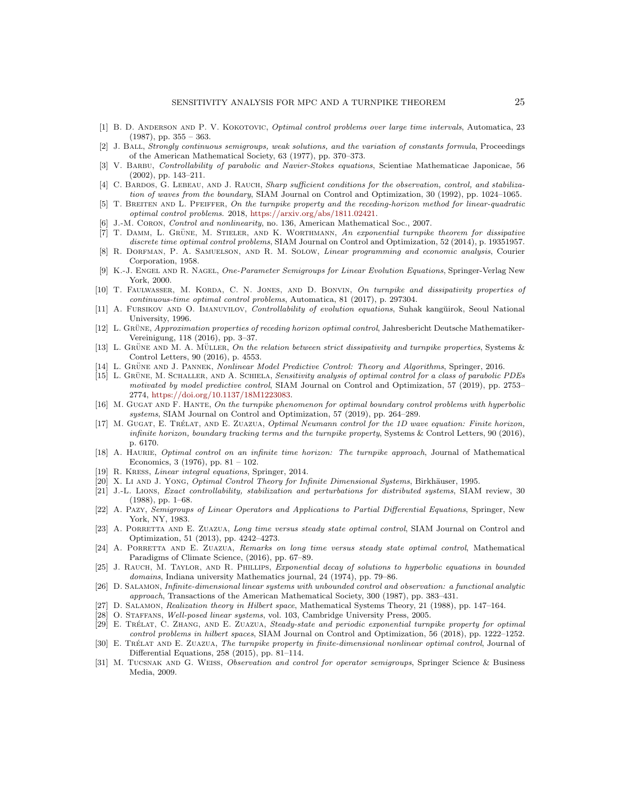- <span id="page-24-5"></span>[1] B. D. Anderson and P. V. Kokotovic, Optimal control problems over large time intervals, Automatica, 23  $(1987)$ , pp.  $355 - 363$ .
- <span id="page-24-21"></span>[2] J. Ball, Strongly continuous semigroups, weak solutions, and the variation of constants formula, Proceedings of the American Mathematical Society, 63 (1977), pp. 370–373.
- <span id="page-24-27"></span>[3] V. Barbu, Controllability of parabolic and Navier-Stokes equations, Scientiae Mathematicae Japonicae, 56 (2002), pp. 143–211.
- <span id="page-24-29"></span>[4] C. BARDOS, G. LEBEAU, AND J. RAUCH, Sharp sufficient conditions for the observation, control, and stabilization of waves from the boundary, SIAM Journal on Control and Optimization, 30 (1992), pp. 1024–1065.
- <span id="page-24-17"></span>[5] T. Breiten and L. Pfeiffer, On the turnpike property and the receding-horizon method for linear-quadratic optimal control problems. 2018, [https://arxiv.org/abs/1811.02421.](https://arxiv.org/abs/1811.02421)
- <span id="page-24-25"></span>J.-M. CORON, Control and nonlinearity, no. 136, American Mathematical Soc., 2007.
- <span id="page-24-16"></span> $[7]$  T. DAMM, L. GRÜNE, M. STIELER, AND K. WORTHMANN, An exponential turnpike theorem for dissipative discrete time optimal control problems, SIAM Journal on Control and Optimization, 52 (2014), p. 19351957.
- <span id="page-24-6"></span>[8] R. Dorfman, P. A. Samuelson, and R. M. Solow, Linear programming and economic analysis, Courier Corporation, 1958.
- <span id="page-24-20"></span>[9] K.-J. ENGEL AND R. NAGEL, One-Parameter Semigroups for Linear Evolution Equations, Springer-Verlag New York, 2000.
- <span id="page-24-9"></span>[10] T. FAULWASSER, M. KORDA, C. N. JONES, AND D. BONVIN, On turnpike and dissipativity properties of continuous-time optimal control problems, Automatica, 81 (2017), p. 297304.
- <span id="page-24-28"></span>[11] A. FURSIKOV AND O. IMANUVILOV, Controllability of evolution equations, Suhak kangŭirok, Seoul National University, 1996.
- <span id="page-24-4"></span>[12] L. GRÜNE, Approximation properties of receding horizon optimal control, Jahresbericht Deutsche Mathematiker-Vereinigung, 118 (2016), pp. 3–37.
- <span id="page-24-8"></span>[13] L. GRÜNE AND M. A. MÜLLER, On the relation between strict dissipativity and turnpike properties, Systems  $\&$ Control Letters, 90 (2016), p. 4553.
- <span id="page-24-3"></span>[14] L. GRÜNE AND J. PANNEK, Nonlinear Model Predictive Control: Theory and Algorithms, Springer, 2016.
- <span id="page-24-0"></span>[15] L. GRÜNE, M. SCHALLER, AND A. SCHIELA, Sensitivity analysis of optimal control for a class of parabolic PDEs motivated by model predictive control, SIAM Journal on Control and Optimization, 57 (2019), pp. 2753– 2774, [https://doi.org/10.1137/18M1223083.](https://doi.org/10.1137/18M1223083)
- <span id="page-24-11"></span>[16] M. Gugat and F. Hante, On the turnpike phenomenon for optimal boundary control problems with hyperbolic systems, SIAM Journal on Control and Optimization, 57 (2019), pp. 264–289.
- <span id="page-24-10"></span>[17] M. GUGAT, E. TRÉLAT, AND E. ZUAZUA, Optimal Neumann control for the 1D wave equation: Finite horizon, infinite horizon, boundary tracking terms and the turnpike property, Systems & Control Letters, 90 (2016), p. 6170.
- <span id="page-24-7"></span>[18] A. Haurie, Optimal control on an infinite time horizon: The turnpike approach, Journal of Mathematical Economics, 3 (1976), pp.  $81 - 102$ .
- <span id="page-24-22"></span>[19] R. Kress, Linear integral equations, Springer, 2014.
- <span id="page-24-19"></span>[20] X. Li AND J. YONG, Optimal Control Theory for Infinite Dimensional Systems, Birkhäuser, 1995.
- <span id="page-24-26"></span>[21] J.-L. Lions, Exact controllability, stabilization and perturbations for distributed systems, SIAM review, 30 (1988), pp. 1–68.
- <span id="page-24-18"></span>[22] A. Pazy, Semigroups of Linear Operators and Applications to Partial Differential Equations, Springer, New York, NY, 1983.
- <span id="page-24-14"></span>[23] A. PORRETTA AND E. ZUAZUA, Long time versus steady state optimal control, SIAM Journal on Control and Optimization, 51 (2013), pp. 4242–4273.
- <span id="page-24-15"></span>[24] A. PORRETTA AND E. ZUAZUA, Remarks on long time versus steady state optimal control, Mathematical Paradigms of Climate Science, (2016), pp. 67–89.
- <span id="page-24-30"></span>[25] J. RAUCH, M. TAYLOR, AND R. PHILLIPS, Exponential decay of solutions to hyperbolic equations in bounded domains, Indiana university Mathematics journal, 24 (1974), pp. 79–86.
- <span id="page-24-23"></span>[26] D. Salamon, Infinite-dimensional linear systems with unbounded control and observation: a functional analytic approach, Transactions of the American Mathematical Society, 300 (1987), pp. 383–431.
- <span id="page-24-24"></span>[27] D. Salamon, Realization theory in Hilbert space, Mathematical Systems Theory, 21 (1988), pp. 147–164.
- <span id="page-24-2"></span>[28] O. STAFFANS, Well-posed linear systems, vol. 103, Cambridge University Press, 2005.
- <span id="page-24-13"></span>[29] E. TRÉLAT, C. ZHANG, AND E. ZUAZUA, Steady-state and periodic exponential turnpike property for optimal control problems in hilbert spaces, SIAM Journal on Control and Optimization, 56 (2018), pp. 1222–1252.
- <span id="page-24-12"></span>[30] E. TRÉLAT AND E. ZUAZUA, The turnpike property in finite-dimensional nonlinear optimal control, Journal of Differential Equations, 258 (2015), pp. 81–114.
- <span id="page-24-1"></span>[31] M. TUCSNAK AND G. WEISS, Observation and control for operator semigroups, Springer Science & Business Media, 2009.